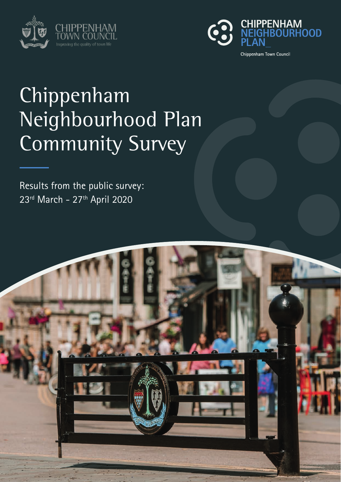



# Chippenham Neighbourhood Plan Community Survey

Results from the public survey: 23rd March - 27<sup>th</sup> April 2020

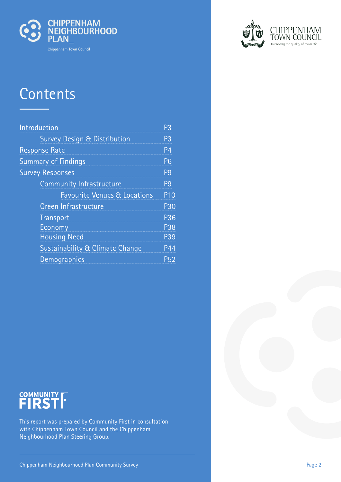

# **Contents**

| Introduction                               | P3             |
|--------------------------------------------|----------------|
| Survey Design & Distribution               | P <sub>3</sub> |
| <b>Response Rate</b>                       | P4             |
| <b>Summary of Findings</b>                 | P <sub>6</sub> |
| <b>Survey Responses</b>                    | P <sub>9</sub> |
| <b>Community Infrastructure</b>            | P <sub>9</sub> |
| <b>Favourite Venues &amp; Locations</b>    | <b>P10</b>     |
| <b>Green Infrastructure</b>                | P30            |
| <b>Transport</b>                           | P36            |
| Economy                                    | P38            |
| <b>Housing Need</b>                        | P39            |
| <b>Sustainability &amp; Climate Change</b> | P44            |
| Demographics                               | P52            |



This report was prepared by Community First in consultation with Chippenham Town Council and the Chippenham Neighbourhood Plan Steering Group.

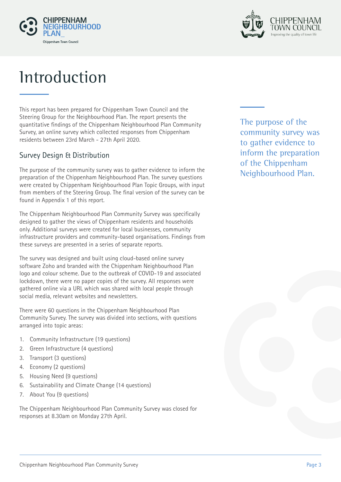



# **Introduction**

This report has been prepared for Chippenham Town Council and the Steering Group for the Neighbourhood Plan. The report presents the quantitative findings of the Chippenham Neighbourhood Plan Community Survey, an online survey which collected responses from Chippenham residents between 23rd March - 27th April 2020.

### Survey Design & Distribution

The purpose of the community survey was to gather evidence to inform the preparation of the Chippenham Neighbourhood Plan. The survey questions were created by Chippenham Neighbourhood Plan Topic Groups, with input from members of the Steering Group. The final version of the survey can be found in Appendix 1 of this report.

The Chippenham Neighbourhood Plan Community Survey was specifically designed to gather the views of Chippenham residents and households only. Additional surveys were created for local businesses, community infrastructure providers and community-based organisations. Findings from these surveys are presented in a series of separate reports.

The survey was designed and built using cloud-based online survey software Zoho and branded with the Chippenham Neighbourhood Plan logo and colour scheme. Due to the outbreak of COVID-19 and associated lockdown, there were no paper copies of the survey. All responses were gathered online via a URL which was shared with local people through social media, relevant websites and newsletters.

There were 60 questions in the Chippenham Neighbourhood Plan Community Survey. The survey was divided into sections, with questions arranged into topic areas:

- 1. Community Infrastructure (19 questions)
- 2. Green Infrastructure (4 questions)
- 3. Transport (3 questions)
- 4. Economy (2 questions)
- 5. Housing Need (9 questions)
- 6. Sustainability and Climate Change (14 questions)
- 7. About You (9 questions)

The Chippenham Neighbourhood Plan Community Survey was closed for responses at 8.30am on Monday 27th April.

The purpose of the community survey was to gather evidence to inform the preparation of the Chippenham Neighbourhood Plan.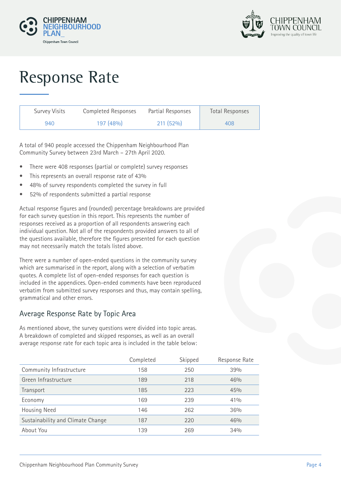



# Response Rate

| <b>Survey Visits</b> | Completed Responses | Partial Responses | <b>Total Responses</b> |
|----------------------|---------------------|-------------------|------------------------|
| 940                  | 197(48%)            | $211(52\%)$       | 408                    |

A total of 940 people accessed the Chippenham Neighbourhood Plan Community Survey between 23rd March – 27th April 2020.

- There were 408 responses (partial or complete) survey responses
- This represents an overall response rate of 43%
- 48% of survey respondents completed the survey in full
- 52% of respondents submitted a partial response

Actual response figures and (rounded) percentage breakdowns are provided for each survey question in this report. This represents the number of responses received as a proportion of all respondents answering each individual question. Not all of the respondents provided answers to all of the questions available, therefore the figures presented for each question may not necessarily match the totals listed above.

There were a number of open-ended questions in the community survey which are summarised in the report, along with a selection of verbatim quotes. A complete list of open-ended responses for each question is included in the appendices. Open-ended comments have been reproduced verbatim from submitted survey responses and thus, may contain spelling, grammatical and other errors.

### Average Response Rate by Topic Area

As mentioned above, the survey questions were divided into topic areas. A breakdown of completed and skipped responses, as well as an overall average response rate for each topic area is included in the table below:

|                                   | Completed | Skipped | Response Rate |
|-----------------------------------|-----------|---------|---------------|
| Community Infrastructure          | 158       | 250     | 39%           |
| Green Infrastructure              | 189       | 218     | 46%           |
| Transport                         | 185       | 223     | 45%           |
| Economy                           | 169       | 239     | $41\%$        |
| Housing Need                      | 146       | 262     | 36%           |
| Sustainability and Climate Change | 187       | 220     | 46%           |
| About You                         | 139       | 269     | 34%           |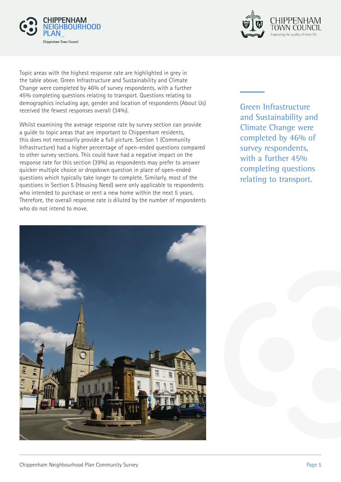



Topic areas with the highest response rate are highlighted in grey in the table above. Green Infrastructure and Sustainability and Climate Change were completed by 46% of survey respondents, with a further 45% completing questions relating to transport. Questions relating to demographics including age, gender and location of respondents (About Us) received the fewest responses overall (34%).

Whilst examining the average response rate by survey section can provide a guide to topic areas that are important to Chippenham residents, this does not necessarily provide a full picture. Section 1 (Community Infrastructure) had a higher percentage of open-ended questions compared to other survey sections. This could have had a negative impact on the response rate for this section (39%) as respondents may prefer to answer quicker multiple choice or dropdown question in place of open-ended questions which typically take longer to complete. Similarly, most of the questions in Section 5 (Housing Need) were only applicable to respondents who intended to purchase or rent a new home within the next 5 years. Therefore, the overall response rate is diluted by the number of respondents who do not intend to move.

Green Infrastructure and Sustainability and Climate Change were completed by 46% of survey respondents, with a further 45% completing questions relating to transport.

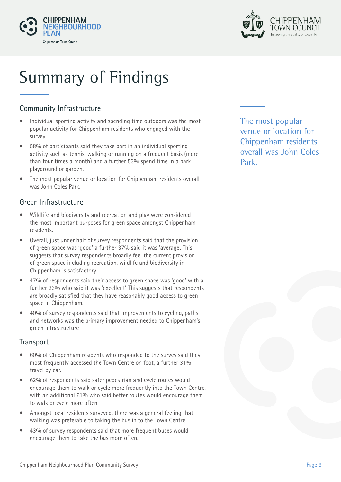



# Summary of Findings

## Community Infrastructure

- Individual sporting activity and spending time outdoors was the most popular activity for Chippenham residents who engaged with the survey.
- 58% of participants said they take part in an individual sporting activity such as tennis, walking or running on a frequent basis (more than four times a month) and a further 53% spend time in a park playground or garden.
- The most popular venue or location for Chippenham residents overall was John Coles Park.

### Green Infrastructure

- Wildlife and biodiversity and recreation and play were considered the most important purposes for green space amongst Chippenham residents.
- Overall, just under half of survey respondents said that the provision of green space was 'good' a further 37% said it was 'average'. This suggests that survey respondents broadly feel the current provision of green space including recreation, wildlife and biodiversity in Chippenham is satisfactory.
- 47% of respondents said their access to green space was 'good' with a further 23% who said it was 'excellent'. This suggests that respondents are broadly satisfied that they have reasonably good access to green space in Chippenham.
- 40% of survey respondents said that improvements to cycling, paths and networks was the primary improvement needed to Chippenham's green infrastructure

### **Transport**

- 60% of Chippenham residents who responded to the survey said they most frequently accessed the Town Centre on foot, a further 31% travel by car.
- 62% of respondents said safer pedestrian and cycle routes would encourage them to walk or cycle more frequently into the Town Centre, with an additional 61% who said better routes would encourage them to walk or cycle more often.
- Amongst local residents surveyed, there was a general feeling that walking was preferable to taking the bus in to the Town Centre.
- 43% of survey respondents said that more frequent buses would encourage them to take the bus more often.

The most popular venue or location for Chippenham residents overall was John Coles Park.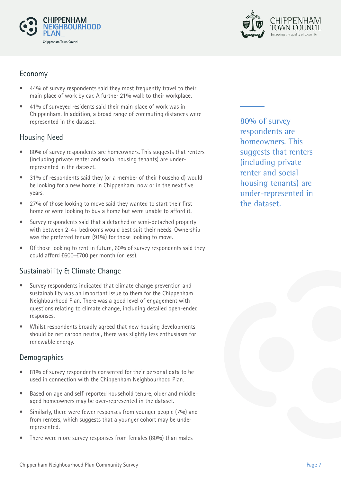



### Economy

- 44% of survey respondents said they most frequently travel to their main place of work by car. A further 21% walk to their workplace.
- 41% of surveyed residents said their main place of work was in Chippenham. In addition, a broad range of commuting distances were represented in the dataset.

## Housing Need

- 80% of survey respondents are homeowners. This suggests that renters (including private renter and social housing tenants) are underrepresented in the dataset.
- 31% of respondents said they (or a member of their household) would be looking for a new home in Chippenham, now or in the next five years.
- 27% of those looking to move said they wanted to start their first home or were looking to buy a home but were unable to afford it.
- Survey respondents said that a detached or semi-detached property with between 2-4+ bedrooms would best suit their needs. Ownership was the preferred tenure (91%) for those looking to move.
- Of those looking to rent in future, 60% of survey respondents said they could afford £600-£700 per month (or less).

## Sustainability & Climate Change

- Survey respondents indicated that climate change prevention and sustainability was an important issue to them for the Chippenham Neighbourhood Plan. There was a good level of engagement with questions relating to climate change, including detailed open-ended responses.
- Whilst respondents broadly agreed that new housing developments should be net carbon neutral, there was slightly less enthusiasm for renewable energy.

### Demographics

- 81% of survey respondents consented for their personal data to be used in connection with the Chippenham Neighbourhood Plan.
- Based on age and self-reported household tenure, older and middleaged homeowners may be over-represented in the dataset.
- Similarly, there were fewer responses from younger people (7%) and from renters, which suggests that a younger cohort may be underrepresented.
- There were more survey responses from females (60%) than males

80% of survey respondents are homeowners. This suggests that renters (including private renter and social housing tenants) are under-represented in the dataset.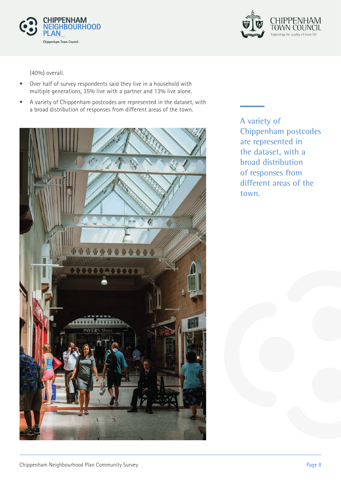



(40%) overall.

- Over half of survey respondents said they live in a household with multiple generations, 35% live with a partner and 13% live alone.
- A variety of Chippenham postcodes are represented in the dataset, with a broad distribution of responses from different areas of the town.



A variety of Chippenham postcodes are represented in the dataset, with a broad distribution of responses from different areas of the town.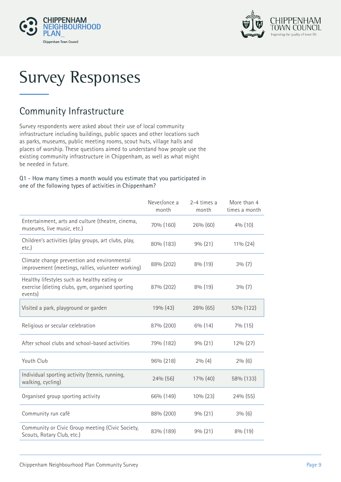



# Survey Responses

# Community Infrastructure

Survey respondents were asked about their use of local community infrastructure including buildings, public spaces and other locations such as parks, museums, public meeting rooms, scout huts, village halls and places of worship. These questions aimed to understand how people use the existing community infrastructure in Chippenham, as well as what might be needed in future.

#### Q1 - How many times a month would you estimate that you participated in one of the following types of activities in Chippenham?

|                                                                                                             | Never/once a<br>month | 2-4 times a<br>month | More than 4<br>times a month |
|-------------------------------------------------------------------------------------------------------------|-----------------------|----------------------|------------------------------|
| Entertainment, arts and culture (theatre, cinema,<br>museums, live music, etc.)                             | 70% (160)             | 26% (60)             | $4\%$ (10)                   |
| Children's activities (play groups, art clubs, play,<br>etc.)                                               | 80% (183)             | 9% (21)              | $11\%$ (24)                  |
| Climate change prevention and environmental<br>improvement (meetings, rallies, volunteer working)           | 88% (202)             | $8\%$ (19)           | $3\%$ (7)                    |
| Healthy lifestyles such as healthy eating or<br>exercise (dieting clubs, gym, organised sporting<br>events) | 87% (202)             | 8% (19)              | $3\%$ (7)                    |
| Visited a park, playground or garden                                                                        | 19% (43)              | 28% (65)             | 53% (122)                    |
| Religious or secular celebration                                                                            | 87% (200)             | $6\%$ (14)           | 7% (15)                      |
| After school clubs and school-based activities                                                              | 79% (182)             | 9% (21)              | 12% (27)                     |
| Youth Club                                                                                                  | 96% (218)             | $2\%$ (4)            | $2\%$ (6)                    |
| Individual sporting activity (tennis, running,<br>walking, cycling)                                         | 24% (56)              | 17% (40)             | 58% (133)                    |
| Organised group sporting activity                                                                           | 66% (149)             | 10% (23)             | 24% (55)                     |
| Community run café                                                                                          | 88% (200)             | 9% (21)              | 3% (6)                       |
| Community or Civic Group meeting (Civic Society,<br>Scouts, Rotary Club, etc.)                              | 83% (189)             | 9% (21)              | 8% (19)                      |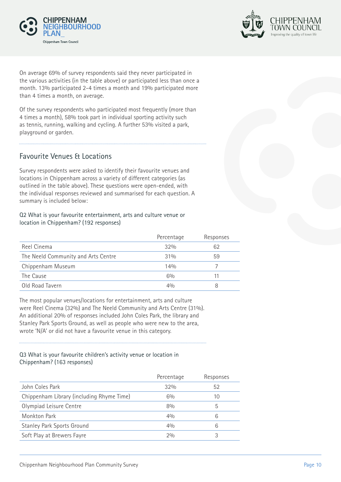



On average 69% of survey respondents said they never participated in the various activities (in the table above) or participated less than once a month. 13% participated 2-4 times a month and 19% participated more than 4 times a month, on average.

Of the survey respondents who participated most frequently (more than 4 times a month), 58% took part in individual sporting activity such as tennis, running, walking and cycling. A further 53% visited a park, playground or garden.

### Favourite Venues & Locations

Survey respondents were asked to identify their favourite venues and locations in Chippenham across a variety of different categories (as outlined in the table above). These questions were open-ended, with the individual responses reviewed and summarised for each question. A summary is included below:

#### Q2 What is your favourite entertainment, arts and culture venue or location in Chippenham? (192 responses)

|                                     | Percentage | Responses |
|-------------------------------------|------------|-----------|
| Reel Cinema                         | 32%        | 62        |
| The Neeld Community and Arts Centre | $31\%$     | 59        |
| Chippenham Museum                   | 14%        |           |
| The Cause                           | $6\%$      | 11        |
| Old Road Tavern                     | 40/0       |           |

The most popular venues/locations for entertainment, arts and culture were Reel Cinema (32%) and The Neeld Community and Arts Centre (31%). An additional 20% of responses included John Coles Park, the library and Stanley Park Sports Ground, as well as people who were new to the area, wrote 'N/A' or did not have a favourite venue in this category.

#### Q3 What is your favourite children's activity venue or location in Chippenham? (163 responses)

|                                           | Percentage | Responses |
|-------------------------------------------|------------|-----------|
| John Coles Park                           | 32%        | 52        |
| Chippenham Library (including Rhyme Time) | 6%         | 10        |
| Olympiad Leisure Centre                   | 8%         | b         |
| Monkton Park                              | 40/6       | 6         |
| <b>Stanley Park Sports Ground</b>         | 40/0       | 6         |
| Soft Play at Brewers Fayre                | 20/0       |           |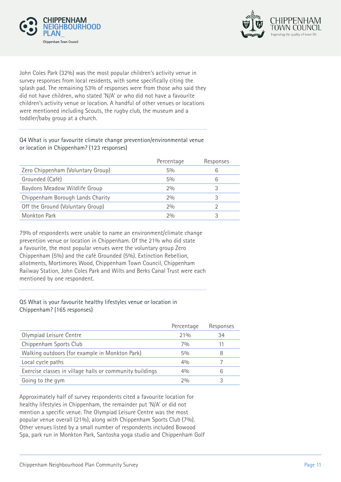



John Coles Park (32%) was the most popular children's activity venue in survey responses from local residents, with some specifically citing the splash pad. The remaining 53% of responses were from those who said they did not have children, who stated 'N/A' or who did not have a favourite children's activity venue or location. A handful of other venues or locations were mentioned including Scouts, the rugby club, the museum and a toddler/baby group at a church.

Q4 What is your favourite climate change prevention/environmental venue

or location in Chippenham? (123 responses)

|                                   | Percentage | Responses |
|-----------------------------------|------------|-----------|
| Zero Chippenham (Voluntary Group) | $5\%$      | h         |
| Grounded (Café)                   | $5\%$      | 6         |
| Baydons Meadow Wildlife Group     | 2%         |           |
| Chippenham Borough Lands Charity  | 20/0       | 3         |
| Off the Ground (Voluntary Group)  | 20/0       |           |
| <b>Monkton Park</b>               | 20/0       |           |

79% of respondents were unable to name an environment/climate change prevention venue or location in Chippenham. Of the 21% who did state a favourite, the most popular venues were the voluntary group Zero Chippenham (5%) and the café Grounded (5%). Extinction Rebellion, allotments, Mortimores Wood, Chippenham Town Council, Chippenham Railway Station, John Coles Park and Wilts and Berks Canal Trust were each mentioned by one respondent.

#### Q5 What is your favourite healthy lifestyles venue or location in Chippenham? (165 responses)

|                                                          | Percentage | Responses |
|----------------------------------------------------------|------------|-----------|
| Olympiad Leisure Centre                                  | 21%        | 34        |
| Chippenham Sports Club                                   | 70/0       |           |
| Walking outdoors (for example in Monkton Park)           | 50/0       | 8         |
| Local cycle paths                                        | 40/0       |           |
| Exercise classes in village halls or community buildings | 40/0       | 6         |
| Going to the gym                                         | 20/0       |           |

Approximately half of survey respondents cited a favourite location for healthy lifestyles in Chippenham, the remainder put 'N/A' or did not mention a specific venue. The Olympiad Leisure Centre was the most popular venue overall (21%), along with Chippenham Sports Club (7%). Other venues listed by a small number of respondents included Bowood Spa, park run in Monkton Park, Santosha yoga studio and Chippenham Golf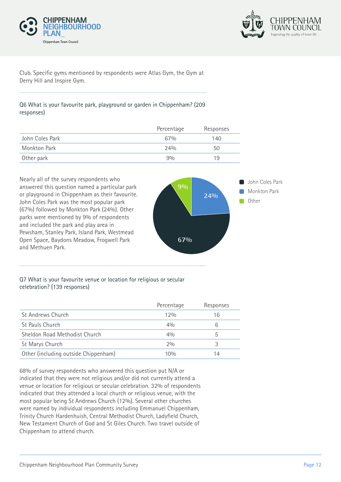



Club. Specific gyms mentioned by respondents were Atlas Gym, the Gym at Derry Hill and Inspire Gym.

#### Q6 What is your favourite park, playground or garden in Chippenham? (209 responses)

|                 | Percentage | Responses |
|-----------------|------------|-----------|
| John Coles Park | 67%        | 140       |
| Monkton Park    | 24%        | 50        |
| Other park      | 90/0       | 19        |



#### Q7 What is your favourite venue or location for religious or secular celebration? (139 responses)

|                                      | Percentage | Responses |
|--------------------------------------|------------|-----------|
| St Andrews Church                    | 12%        | 16        |
| St Pauls Church                      | 40/0       |           |
| Sheldon Road Methodist Church        | 40/0       |           |
| St Marys Church                      | 20/0       |           |
| Other (including outside Chippenham) | 10%        | 14        |

68% of survey respondents who answered this question put N/A or indicated that they were not religious and/or did not currently attend a venue or location for religious or secular celebration. 32% of respondents indicated that they attended a local church or religious venue, with the most popular being St Andrews Church (12%). Several other churches were named by individual respondents including Emmanuel Chippenham, Trinity Church Hardenhuish, Central Methodist Church, Ladyfield Church, New Testament Church of God and St Giles Church. Two travel outside of Chippenham to attend church.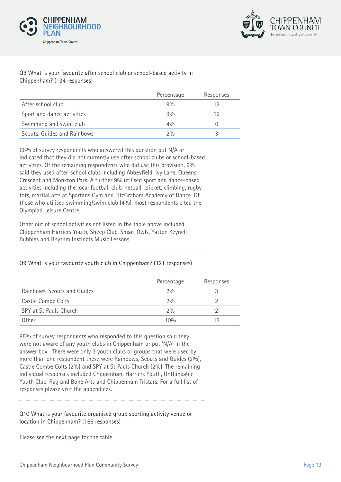



#### Q8 What is your favourite after school club or school-based activity in Chippenham? (134 responses)

|                             | Percentage | Responses |
|-----------------------------|------------|-----------|
| After school club           | 90/0       |           |
| Sport and dance activities  | 90/0       |           |
| Swimming and swim club      | 4%         |           |
| Scouts, Guides and Rainbows | 20/n       |           |

66% of survey respondents who answered this question put N/A or indicated that they did not currently use after school clubs or school-based activities. Of the remaining respondents who did use this provision, 9% said they used after-school clubs including Abbeyfield, Ivy Lane, Queens Crescent and Monkton Park. A further 9% utilised sport and dance-based activities including the local football club, netball, cricket, climbing, rugby tots, martial arts at Spartans Gym and FitzGraham Academy of Dance. Of those who utilised swimming/swim club (4%), most respondents cited the Olympiad Leisure Centre.

Other out of school activities not listed in the table above included Chippenham Harriers Youth, Sheep Club, Smart Owls, Yatton Keynell Bubbles and Rhythm Instincts Music Lessons.

#### Q9 What is your favourite youth club in Chippenham? (121 responses)

|                             | Percentage | Responses |
|-----------------------------|------------|-----------|
| Rainbows, Scouts and Guides | 20/0       |           |
| Castle Combe Colts          | 20/0       |           |
| SPY at St Pauls Church      | $2\%$      |           |
| Other                       | 10%        |           |

85% of survey respondents who responded to this question said they were not aware of any youth clubs in Chippenham or put 'N/A' in the answer box. There were only 3 youth clubs or groups that were used by more than one respondent these were Rainbows, Scouts and Guides (2%), Castle Combe Colts (2%) and SPY at St Pauls Church (2%). The remaining individual responses included Chippenham Harriers Youth, Unthinkable Youth Club, Rag and Bone Arts and Chippenham Tristars. For a full list of responses please visit the appendices.

#### Q10 What is your favourite organised group sporting activity venue or location in Chippenham? (166 responses)

Please see the next page for the table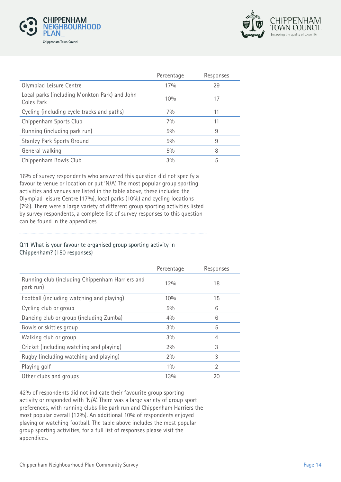



|                                                             | Percentage | Responses |
|-------------------------------------------------------------|------------|-----------|
| Olympiad Leisure Centre                                     | 17%        | 29        |
| Local parks (including Monkton Park) and John<br>Coles Park | 10%        |           |
| Cycling (including cycle tracks and paths)                  | 7%         | 11        |
| Chippenham Sports Club                                      | 7%         | 11        |
| Running (including park run)                                | $5\%$      | 9         |
| <b>Stanley Park Sports Ground</b>                           | $5\%$      | 9         |
| General walking                                             | $5\%$      | 8         |
| Chippenham Bowls Club                                       | 3%         | 5         |

16% of survey respondents who answered this question did not specify a favourite venue or location or put 'N/A'. The most popular group sporting activities and venues are listed in the table above, these included the Olympiad leisure Centre (17%), local parks (10%) and cycling locations (7%). There were a large variety of different group sporting activities listed by survey respondents, a complete list of survey responses to this question can be found in the appendices.

#### Q11 What is your favourite organised group sporting activity in Chippenham? (150 responses)

|                                                              | Percentage | Responses |
|--------------------------------------------------------------|------------|-----------|
| Running club (including Chippenham Harriers and<br>park run) | 12%        | 18        |
| Football (including watching and playing)                    | 10%        | 15        |
| Cycling club or group                                        | $5\%$      | 6         |
| Dancing club or group (including Zumba)                      | 40/0       | 6         |
| Bowls or skittles group                                      | 3%         | 5         |
| Walking club or group                                        | 3%         | 4         |
| Cricket (including watching and playing)                     | 2%         | 3         |
| Rugby (including watching and playing)                       | 2%         | 3         |
| Playing golf                                                 | 10/0       | 2         |
| Other clubs and groups                                       | 13%        | 20        |

42% of respondents did not indicate their favourite group sporting activity or responded with 'N/A'. There was a large variety of group sport preferences, with running clubs like park run and Chippenham Harriers the most popular overall (12%). An additional 10% of respondents enjoyed playing or watching football. The table above includes the most popular group sporting activities, for a full list of responses please visit the appendices.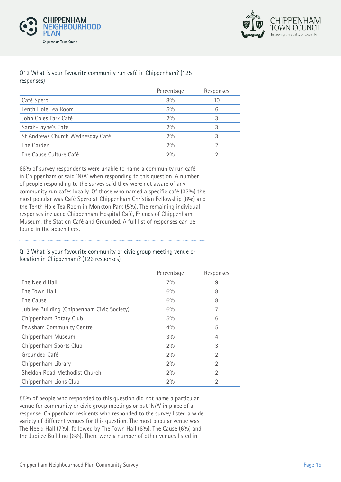



#### Q12 What is your favourite community run café in Chippenham? (125 responses)

|                                  | Percentage | Responses |
|----------------------------------|------------|-----------|
| Café Spero                       | 8%         | 10        |
| Tenth Hole Tea Room              | $5\%$      | 6         |
| John Coles Park Café             | 2%         | 3         |
| Sarah-Jayne's Café               | 2%         | 3         |
| St Andrews Church Wednesday Café | 2%         |           |
| The Garden                       | 2%         |           |
| The Cause Culture Café           | 20/0       |           |
|                                  |            |           |

66% of survey respondents were unable to name a community run café in Chippenham or said 'N/A' when responding to this question. A number of people responding to the survey said they were not aware of any community run cafes locally. Of those who named a specific café (33%) the most popular was Café Spero at Chippenham Christian Fellowship (8%) and the Tenth Hole Tea Room in Monkton Park (5%). The remaining individual responses included Chippenham Hospital Café, Friends of Chippenham Museum, the Station Café and Grounded. A full list of responses can be found in the appendices.

#### Q13 What is your favourite community or civic group meeting venue or location in Chippenham? (126 responses)

| Percentage | Responses      |
|------------|----------------|
| 70/0       | 9              |
| 6%         | 8              |
| 6%         | 8              |
| $6\%$      | 7              |
| $5\%$      | 6              |
| 40/0       | 5              |
| $3\%$      | 4              |
| 2%         | 3              |
| 2%         | 2              |
| 2%         | $\mathfrak{D}$ |
| 2%         | 2              |
| 2%         | 2              |
|            |                |

55% of people who responded to this question did not name a particular venue for community or civic group meetings or put 'N/A' in place of a response. Chippenham residents who responded to the survey listed a wide variety of different venues for this question. The most popular venue was The Neeld Hall (7%), followed by The Town Hall (6%), The Cause (6%) and the Jubilee Building (6%). There were a number of other venues listed in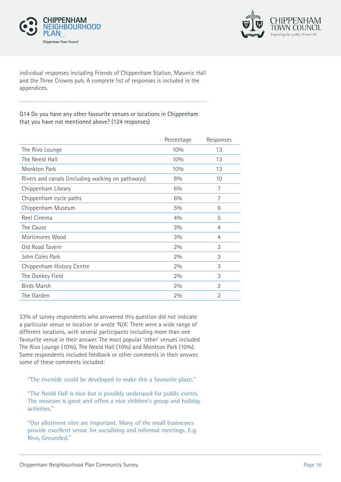



individual responses including Friends of Chippenham Station, Masonic Hall and the Three Crowns pub. A complete list of responses is included in the appendices.

#### Q14 Do you have any other favourite venues or locations in Chippenham that you have not mentioned above? (124 responses)

|                                                   | Percentage | Responses      |
|---------------------------------------------------|------------|----------------|
| The Rivo Lounge                                   | 10%        | 13             |
| The Neeld Hall                                    | 10%        | 13             |
| Monkton Park                                      | 10%        | 13             |
| Rivers and canals (including walking on pathways) | 8%         | 10             |
| Chippenham Library                                | $6\%$      | 7              |
| Chippenham cycle paths                            | 6%         | 7              |
| Chippenham Museum                                 | $5\%$      | 6              |
| Reel Cinema                                       | 4%         | 5              |
| The Cause                                         | 3%         | 4              |
| Mortimores Wood                                   | 3%         | 4              |
| Old Road Tavern                                   | 2%         | 3              |
| John Coles Park                                   | 2%         | 3              |
| Chippenham History Centre                         | 2%         | 3              |
| The Donkey Field                                  | 2%         | 3              |
| <b>Birds Marsh</b>                                | 2%         | $\mathfrak{D}$ |
| The Garden                                        | 2%         | 2              |

33% of survey respondents who answered this question did not indicate a particular venue or location or wrote 'N/A'. There were a wide range of different locations, with several participants including more than one favourite venue in their answer. The most popular 'other' venues included The Rivo Lounge (10%), The Neeld Hall (10%) and Monkton Park (10%). Some respondents included feedback or other comments in their answer, some of these comments included:

"The riverside could be developed to make this a favourite place."

"The Neeld Hall is nice but is possibly underused for public events. The museum is great and offers a nice children's group and holiday activities."

"Our allotment sites are important. Many of the small businesses provide excellent venue for socialising and informal meetings. E.g. Rivo, Grounded."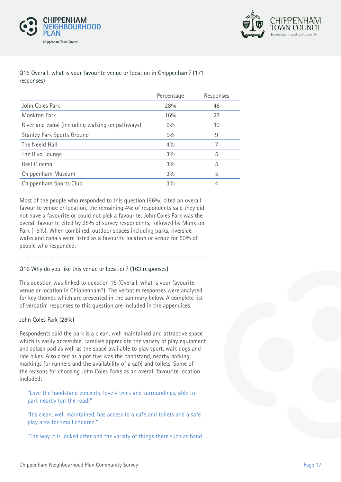



#### Q15 Overall, what is your favourite venue or location in Chippenham? (171 responses)

|                                                 | Percentage | Responses |
|-------------------------------------------------|------------|-----------|
| John Coles Park                                 | 28%        | 48        |
| Monkton Park                                    | 16%        | 27        |
| River and canal (including walking on pathways) | $6\%$      | 10        |
| <b>Stanley Park Sports Ground</b>               | $5\%$      | 9         |
| The Neeld Hall                                  | 40/0       |           |
| The Rivo Lounge                                 | 3%         | 5         |
| Reel Cinema                                     | 3%         | 5         |
| Chippenham Museum                               | $3\%$      | 5         |
| Chippenham Sports Club                          | 3%         | 4         |

Most of the people who responded to this question (96%) cited an overall favourite venue or location, the remaining 4% of respondents said they did not have a favourite or could not pick a favourite. John Coles Park was the overall favourite cited by 28% of survey respondents, followed by Monkton Park (16%). When combined, outdoor spaces including parks, riverside walks and canals were listed as a favourite location or venue for 50% of people who responded.

#### Q16 Why do you like this venue or location? (163 responses)

This question was linked to question 15 (Overall, what is your favourite venue or location in Chippenham?) The verbatim responses were analysed for key themes which are presented in the summary below. A complete list of verbatim responses to this question are included in the appendices.

#### John Coles Park (28%)

Respondents said the park is a clean, well maintained and attractive space which is easily accessible. Families appreciate the variety of play equipment and splash pad as well as the space available to play sport, walk dogs and ride bikes. Also cited as a positive was the bandstand, nearby parking, markings for runners and the availability of a café and toilets. Some of the reasons for choosing John Coles Parks as an overall favourite location included:

"Love the bandstand concerts, lovely trees and surroundings, able to park nearby (on the road)"

"It's clean, well maintained, has access to a cafe and toilets and a safe play area for small children."

"The way it is looked after and the variety of things there such as band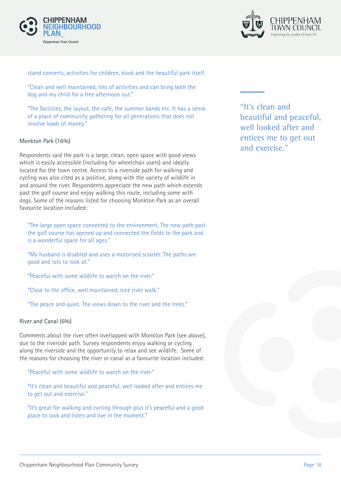



stand concerts, activities for children, kiosk and the beautiful park itself.

"Clean and well maintained, lots of activities and can bring both the dog and my child for a free afternoon out."

"The facilities, the layout, the cafe, the summer bands etc. It has a sense of a place of community gathering for all generations that does not involve loads of money."

#### Monkton Park (16%)

Respondents said the park is a large, clean, open space with good views which is easily accessible (including for wheelchair users) and ideally located for the town centre. Access to a riverside path for walking and cycling was also cited as a positive, along with the variety of wildlife in and around the river. Respondents appreciate the new path which extends past the golf course and enjoy walking this route, including some with dogs. Some of the reasons listed for choosing Monkton Park as an overall favourite location included:

"The large open space connected to the environment. The new path past the golf course has opened up and connected the fields to the park and is a wonderful space for all ages."

"My husband is disabled and uses a motorised scooter. The paths are good and lots to look at."

"Peaceful with some wildlife to watch on the river."

"Close to the office, well maintained, nice river walk."

"The peace and quiet. The views down to the river and the trees."

#### River and Canal (6%)

Comments about the river often overlapped with Monkton Park (see above), due to the riverside path. Survey respondents enjoy walking or cycling along the riverside and the opportunity to relax and see wildlife. Some of the reasons for choosing the river or canal as a favourite location included:

"Peaceful with some wildlife to watch on the river."

"It's clean and beautiful and peaceful, well looked after and entices me to get out and exercise."

"It's great for walking and cycling through plus it's peaceful and a good place to look and listen and live in the moment."

"It's clean and beautiful and peaceful, well looked after and entices me to get out and exercise."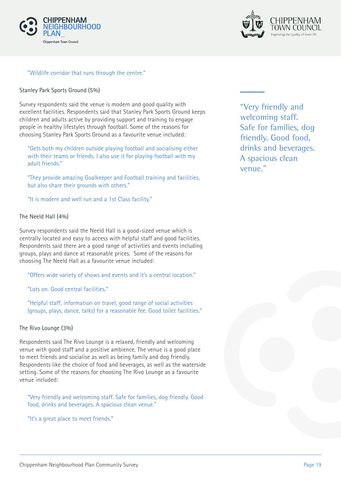



#### "Wildlife corridor that runs through the centre."

#### Stanley Park Sports Ground (5%)

Survey respondents said the venue is modern and good quality with excellent facilities. Respondents said that Stanley Park Sports Ground keeps children and adults active by providing support and training to engage people in healthy lifestyles through football. Some of the reasons for choosing Stanley Park Sports Ground as a favourite venue included:

"Gets both my children outside playing football and socialising either with their teams or friends. I also use it for playing football with my adult friends."

"They provide amazing Goalkeeper and Football training and facilities, but also share their grounds with others."

"It is modern and well run and a 1st Class facility."

#### The Neeld Hall (4%)

Survey respondents said the Neeld Hall is a good-sized venue which is centrally located and easy to access with helpful staff and good facilities. Respondents said there are a good range of activities and events including groups, plays and dance at reasonable prices. Some of the reasons for choosing The Neeld Hall as a favourite venue included:

"Offers wide variety of shows and events and it's a central location."

"Lots on. Good central facilities."

"Helpful staff, information on travel, good range of social activities (groups, plays, dance, talks) for a reasonable fee. Good toilet facilities."

#### The Rivo Lounge (3%)

Respondents said The Rivo Lounge is a relaxed, friendly and welcoming venue with good staff and a positive ambience. The venue is a good place to meet friends and socialise as well as being family and dog friendly. Respondents like the choice of food and beverages, as well as the waterside setting. Some of the reasons for choosing The Rivo Lounge as a favourite venue included:

"Very friendly and welcoming staff. Safe for families, dog friendly. Good food, drinks and beverages. A spacious clean venue."

"It's a great place to meet friends."

"Very friendly and welcoming staff. Safe for families, dog friendly. Good food, drinks and beverages. A spacious clean venue."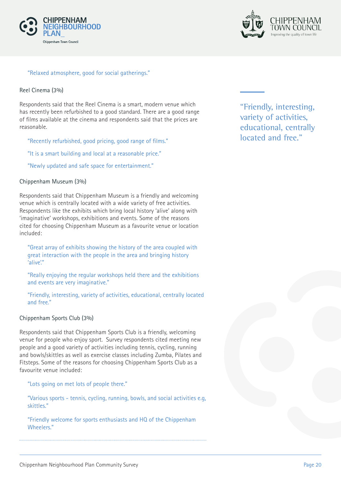



#### "Relaxed atmosphere, good for social gatherings."

#### Reel Cinema (3%)

Respondents said that the Reel Cinema is a smart, modern venue which has recently been refurbished to a good standard. There are a good range of films available at the cinema and respondents said that the prices are reasonable.

"Recently refurbished, good pricing, good range of films."

"It is a smart building and local at a reasonable price."

"Newly updated and safe space for entertainment."

#### Chippenham Museum (3%)

Respondents said that Chippenham Museum is a friendly and welcoming venue which is centrally located with a wide variety of free activities. Respondents like the exhibits which bring local history 'alive' along with 'imaginative' workshops, exhibitions and events. Some of the reasons cited for choosing Chippenham Museum as a favourite venue or location included:

"Great array of exhibits showing the history of the area coupled with great interaction with the people in the area and bringing history 'alive'."

"Really enjoying the regular workshops held there and the exhibitions and events are very imaginative."

"Friendly, interesting, variety of activities, educational, centrally located and free."

#### Chippenham Sports Club (3%)

Respondents said that Chippenham Sports Club is a friendly, welcoming venue for people who enjoy sport. Survey respondents cited meeting new people and a good variety of activities including tennis, cycling, running and bowls/skittles as well as exercise classes including Zumba, Pilates and Fitsteps. Some of the reasons for choosing Chippenham Sports Club as a favourite venue included:

"Lots going on met lots of people there."

"Various sports - tennis, cycling, running, bowls, and social activities e.g, skittles."

"Friendly welcome for sports enthusiasts and HQ of the Chippenham Wheelers."

"Friendly, interesting, variety of activities, educational, centrally located and free."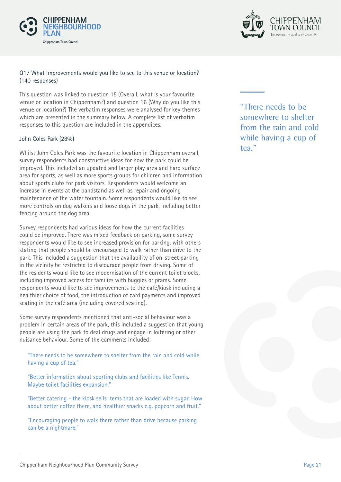



#### Q17 What improvements would you like to see to this venue or location? (140 responses)

This question was linked to question 15 (Overall, what is your favourite venue or location in Chippenham?) and question 16 (Why do you like this venue or location?) The verbatim responses were analysed for key themes which are presented in the summary below. A complete list of verbatim responses to this question are included in the appendices.

#### John Coles Park (28%)

Whilst John Coles Park was the favourite location in Chippenham overall, survey respondents had constructive ideas for how the park could be improved. This included an updated and larger play area and hard surface area for sports, as well as more sports groups for children and information about sports clubs for park visitors. Respondents would welcome an increase in events at the bandstand as well as repair and ongoing maintenance of the water fountain. Some respondents would like to see more controls on dog walkers and loose dogs in the park, including better fencing around the dog area.

Survey respondents had various ideas for how the current facilities could be improved. There was mixed feedback on parking, some survey respondents would like to see increased provision for parking, with others stating that people should be encouraged to walk rather than drive to the park. This included a suggestion that the availability of on-street parking in the vicinity be restricted to discourage people from driving. Some of the residents would like to see modernisation of the current toilet blocks, including improved access for families with buggies or prams. Some respondents would like to see improvements to the café/kiosk including a healthier choice of food, the introduction of card payments and improved seating in the café area (including covered seating).

Some survey respondents mentioned that anti-social behaviour was a problem in certain areas of the park, this included a suggestion that young people are using the park to deal drugs and engage in loitering or other nuisance behaviour. Some of the comments included:

"There needs to be somewhere to shelter from the rain and cold while having a cup of tea."

"Better information about sporting clubs and facilities like Tennis. Maybe toilet facilities expansion."

"Better catering - the kiosk sells items that are loaded with sugar. How about better coffee there, and healthier snacks e.g. popcorn and fruit."

"Encouraging people to walk there rather than drive because parking can be a nightmare."

"There needs to be somewhere to shelter from the rain and cold while having a cup of tea."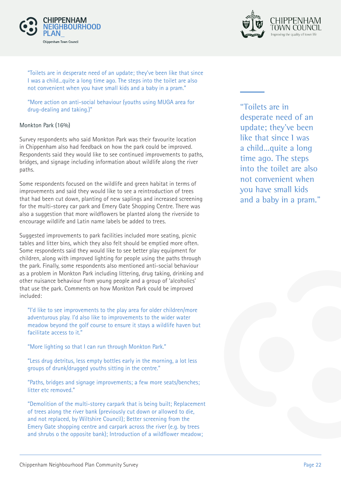



"Toilets are in desperate need of an update; they've been like that since I was a child...quite a long time ago. The steps into the toilet are also not convenient when you have small kids and a baby in a pram."

"More action on anti-social behaviour (youths using MUGA area for drug-dealing and taking.)"

#### Monkton Park (16%)

Survey respondents who said Monkton Park was their favourite location in Chippenham also had feedback on how the park could be improved. Respondents said they would like to see continued improvements to paths, bridges, and signage including information about wildlife along the river paths.

Some respondents focused on the wildlife and green habitat in terms of improvements and said they would like to see a reintroduction of trees that had been cut down, planting of new saplings and increased screening for the multi-storey car park and Emery Gate Shopping Centre. There was also a suggestion that more wildflowers be planted along the riverside to encourage wildlife and Latin name labels be added to trees.

Suggested improvements to park facilities included more seating, picnic tables and litter bins, which they also felt should be emptied more often. Some respondents said they would like to see better play equipment for children, along with improved lighting for people using the paths through the park. Finally, some respondents also mentioned anti-social behaviour as a problem in Monkton Park including littering, drug taking, drinking and other nuisance behaviour from young people and a group of 'alcoholics' that use the park. Comments on how Monkton Park could be improved included:

"I'd like to see improvements to the play area for older children/more adventurous play. I'd also like to improvements to the wider water meadow beyond the golf course to ensure it stays a wildlife haven but facilitate access to it."

"More lighting so that I can run through Monkton Park."

"Less drug detritus, less empty bottles early in the morning, a lot less groups of drunk/drugged youths sitting in the centre."

"Paths, bridges and signage improvements; a few more seats/benches; litter etc removed."

"Demolition of the multi-storey carpark that is being built; Replacement of trees along the river bank (previously cut down or allowed to die, and not replaced, by Wiltshire Council); Better screening from the Emery Gate shopping centre and carpark across the river (e.g. by trees and shrubs o the opposite bank); Introduction of a wildflower meadow;

"Toilets are in desperate need of an update; they've been like that since I was a child...quite a long time ago. The steps into the toilet are also not convenient when you have small kids and a baby in a pram."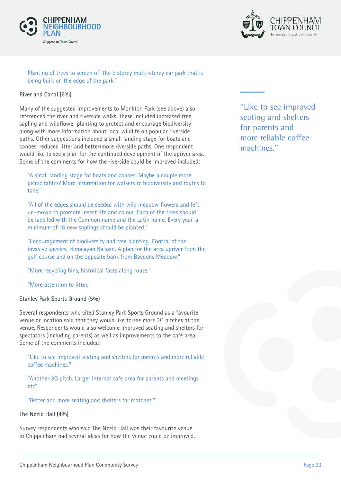



#### Planting of trees to screen off the 5 storey multi-storey car park that is being built on the edge of the park."

#### River and Canal (6%)

Many of the suggested improvements to Monkton Park (see above) also referenced the river and riverside walks. These included increased tree, sapling and wildflower planting to protect and encourage biodiversity along with more information about local wildlife on popular riverside paths. Other suggestions included a small landing stage for boats and canoes, reduced litter and better/more riverside paths. One respondent would like to see a plan for the continued development of the upriver area. Some of the comments for how the riverside could be improved included:

"A small landing stage for boats and canoes. Maybe a couple more picnic tables? More information for walkers re biodiversity and routes to take."

"All of the edges should be seeded with wild meadow flowers and left un-mown to promote insect life and colour. Each of the trees should be labelled with the Common name and the Latin name. Every year, a minimum of 10 new saplings should be planted."

"Encouragement of biodiversity and tree planting. Control of the invasive species, Himalayan Balsam. A plan for the area upriver from the golf course and on the opposite bank from Baydons Meadow."

"More recycling bins, historical facts along route."

"More attention to litter."

#### Stanley Park Sports Ground (5%)

Several respondents who cited Stanley Park Sports Ground as a favourite venue or location said that they would like to see more 3G pitches at the venue. Respondents would also welcome improved seating and shelters for spectators (including parents) as well as improvements to the café area. Some of the comments included:

"Like to see improved seating and shelters for parents and more reliable coffee machines."

"Another 3G pitch. Larger internal cafe area for parents and meetings etc"

"Better and more seating and shelters for matches."

#### The Neeld Hall (4%)

Survey respondents who said The Neeld Hall was their favourite venue in Chippenham had several ideas for how the venue could be improved. "Like to see improved seating and shelters for parents and more reliable coffee machines."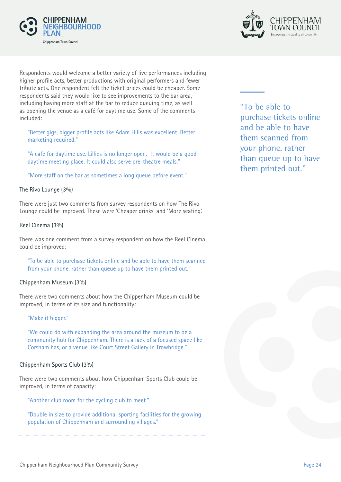



Respondents would welcome a better variety of live performances including higher profile acts, better productions with original performers and fewer tribute acts. One respondent felt the ticket prices could be cheaper. Some respondents said they would like to see improvements to the bar area, including having more staff at the bar to reduce queuing time, as well as opening the venue as a café for daytime use. Some of the comments included:

"Better gigs, bigger profile acts like Adam Hills was excellent. Better marketing required."

"A cafe for daytime use. Lillies is no longer open. It would be a good daytime meeting place. It could also serve pre-theatre meals."

"More staff on the bar as sometimes a long queue before event."

#### The Rivo Lounge (3%)

There were just two comments from survey respondents on how The Rivo Lounge could be improved. These were 'Cheaper drinks' and 'More seating'.

#### Reel Cinema (3%)

There was one comment from a survey respondent on how the Reel Cinema could be improved:

"To be able to purchase tickets online and be able to have them scanned from your phone, rather than queue up to have them printed out."

#### Chippenham Museum (3%)

There were two comments about how the Chippenham Museum could be improved, in terms of its size and functionality:

#### "Make it bigger."

"We could do with expanding the area around the museum to be a community hub for Chippenham. There is a lack of a focused space like Corsham has, or a venue like Court Street Gallery in Trowbridge."

#### Chippenham Sports Club (3%)

There were two comments about how Chippenham Sports Club could be improved, in terms of capacity:

"Another club room for the cycling club to meet."

"Double in size to provide additional sporting facilities for the growing population of Chippenham and surrounding villages."

"To be able to purchase tickets online and be able to have them scanned from your phone, rather than queue up to have them printed out."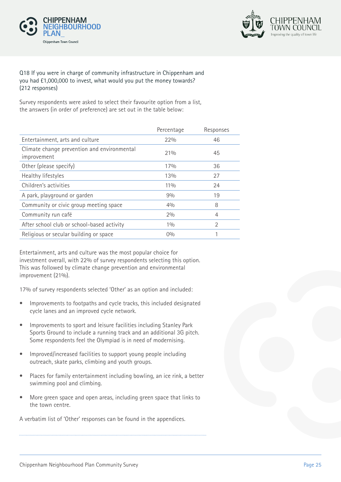



#### Q18 If you were in charge of community infrastructure in Chippenham and you had £1,000,000 to invest, what would you put the money towards? (212 responses)

Survey respondents were asked to select their favourite option from a list, the answers (in order of preference) are set out in the table below:

| Percentage | Responses      |
|------------|----------------|
| 22%        | 46             |
| 21%        | 45             |
| 17%        | 36             |
| 13%        | 27             |
| $11\%$     | 24             |
| 9%         | 19             |
| 40/0       | 8              |
| 2%         | 4              |
| 10/0       | $\mathfrak{D}$ |
| $0\%$      |                |
|            |                |

Entertainment, arts and culture was the most popular choice for investment overall, with 22% of survey respondents selecting this option. This was followed by climate change prevention and environmental improvement (21%).

17% of survey respondents selected 'Other' as an option and included:

- Improvements to footpaths and cycle tracks, this included designated cycle lanes and an improved cycle network.
- Improvements to sport and leisure facilities including Stanley Park Sports Ground to include a running track and an additional 3G pitch. Some respondents feel the Olympiad is in need of modernising.
- Improved/increased facilities to support young people including outreach, skate parks, climbing and youth groups.
- Places for family entertainment including bowling, an ice rink, a better swimming pool and climbing.
- More green space and open areas, including green space that links to the town centre.

A verbatim list of 'Other' responses can be found in the appendices.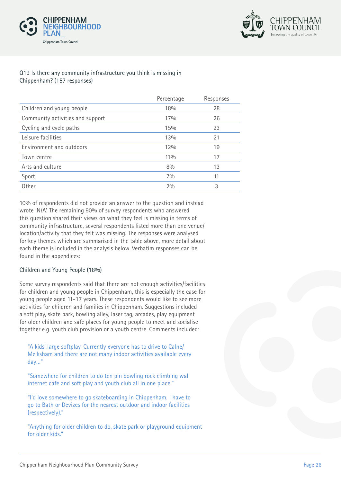



#### Q19 Is there any community infrastructure you think is missing in Chippenham? (157 responses)

|                                  | Percentage | Responses |
|----------------------------------|------------|-----------|
| Children and young people        | 18%        | 28        |
| Community activities and support | 17%        | 26        |
| Cycling and cycle paths          | 15%        | 23        |
| Leisure facilities               | 13%        | 21        |
| Environment and outdoors         | 12%        | 19        |
| Town centre                      | $11\%$     | 17        |
| Arts and culture                 | 8%         | 13        |
| Sport                            | 7%         | 11        |
| Other                            | 2%         | 3         |
|                                  |            |           |

10% of respondents did not provide an answer to the question and instead wrote 'N/A'. The remaining 90% of survey respondents who answered this question shared their views on what they feel is missing in terms of community infrastructure, several respondents listed more than one venue/ location/activity that they felt was missing. The responses were analysed for key themes which are summarised in the table above, more detail about each theme is included in the analysis below. Verbatim responses can be found in the appendices:

#### Children and Young People (18%)

Some survey respondents said that there are not enough activities/facilities for children and young people in Chippenham, this is especially the case for young people aged 11-17 years. These respondents would like to see more activities for children and families in Chippenham. Suggestions included a soft play, skate park, bowling alley, laser tag, arcades, play equipment for older children and safe places for young people to meet and socialise together e.g. youth club provision or a youth centre. Comments included:

"A kids' large softplay. Currently everyone has to drive to Calne/ Melksham and there are not many indoor activities available every day…"

"Somewhere for children to do ten pin bowling rock climbing wall internet cafe and soft play and youth club all in one place."

"I'd love somewhere to go skateboarding in Chippenham. I have to go to Bath or Devizes for the nearest outdoor and indoor facilities (respectively)."

"Anything for older children to do, skate park or playground equipment for older kids."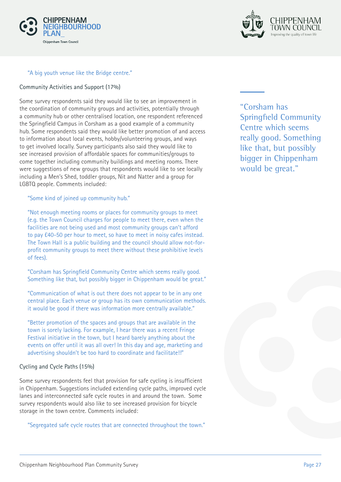



#### "A big youth venue like the Bridge centre."

#### Community Activities and Support (17%)

Some survey respondents said they would like to see an improvement in the coordination of community groups and activities, potentially through a community hub or other centralised location, one respondent referenced the Springfield Campus in Corsham as a good example of a community hub. Some respondents said they would like better promotion of and access to information about local events, hobby/volunteering groups, and ways to get involved locally. Survey participants also said they would like to see increased provision of affordable spaces for communities/groups to come together including community buildings and meeting rooms. There were suggestions of new groups that respondents would like to see locally including a Men's Shed, toddler groups, Nit and Natter and a group for LGBTQ people. Comments included:

"Some kind of joined up community hub."

"Not enough meeting rooms or places for community groups to meet (e.g. the Town Council charges for people to meet there, even when the facilities are not being used and most community groups can't afford to pay £40-50 per hour to meet, so have to meet in noisy cafes instead. The Town Hall is a public building and the council should allow not-forprofit community groups to meet there without these prohibitive levels of fees).

"Corsham has Springfield Community Centre which seems really good. Something like that, but possibly bigger in Chippenham would be great."

"Communication of what is out there does not appear to be in any one central place. Each venue or group has its own communication methods. it would be good if there was information more centrally available."

"Better promotion of the spaces and groups that are available in the town is sorely lacking. For example, I hear there was a recent Fringe Festival initiative in the town, but I heard barely anything about the events on offer until it was all over! In this day and age, marketing and advertising shouldn't be too hard to coordinate and facilitate!!"

#### Cycling and Cycle Paths (15%)

Some survey respondents feel that provision for safe cycling is insufficient in Chippenham. Suggestions included extending cycle paths, improved cycle lanes and interconnected safe cycle routes in and around the town. Some survey respondents would also like to see increased provision for bicycle storage in the town centre. Comments included:

"Segregated safe cycle routes that are connected throughout the town."

"Corsham has Springfield Community Centre which seems really good. Something like that, but possibly bigger in Chippenham would be great."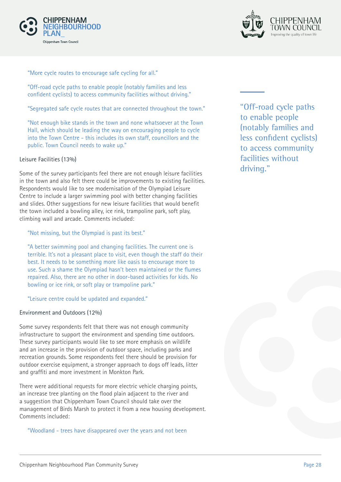



"More cycle routes to encourage safe cycling for all."

"Off-road cycle paths to enable people (notably families and less confident cyclists) to access community facilities without driving."

"Segregated safe cycle routes that are connected throughout the town."

"Not enough bike stands in the town and none whatsoever at the Town Hall, which should be leading the way on encouraging people to cycle into the Town Centre - this includes its own staff, councillors and the public. Town Council needs to wake up."

#### Leisure Facilities (13%)

Some of the survey participants feel there are not enough leisure facilities in the town and also felt there could be improvements to existing facilities. Respondents would like to see modernisation of the Olympiad Leisure Centre to include a larger swimming pool with better changing facilities and slides. Other suggestions for new leisure facilities that would benefit the town included a bowling alley, ice rink, trampoline park, soft play, climbing wall and arcade. Comments included:

#### "Not missing, but the Olympiad is past its best."

"A better swimming pool and changing facilities. The current one is terrible. It's not a pleasant place to visit, even though the staff do their best. It needs to be something more like oasis to encourage more to use. Such a shame the Olympiad hasn't been maintained or the flumes repaired. Also, there are no other in door-based activities for kids. No bowling or ice rink, or soft play or trampoline park."

"Leisure centre could be updated and expanded."

#### Environment and Outdoors (12%)

Some survey respondents felt that there was not enough community infrastructure to support the environment and spending time outdoors. These survey participants would like to see more emphasis on wildlife and an increase in the provision of outdoor space, including parks and recreation grounds. Some respondents feel there should be provision for outdoor exercise equipment, a stronger approach to dogs off leads, litter and graffiti and more investment in Monkton Park.

There were additional requests for more electric vehicle charging points, an increase tree planting on the flood plain adjacent to the river and a suggestion that Chippenham Town Council should take over the management of Birds Marsh to protect it from a new housing development. Comments included:

"Woodland - trees have disappeared over the years and not been

"Off-road cycle paths to enable people (notably families and less confident cyclists) to access community facilities without driving."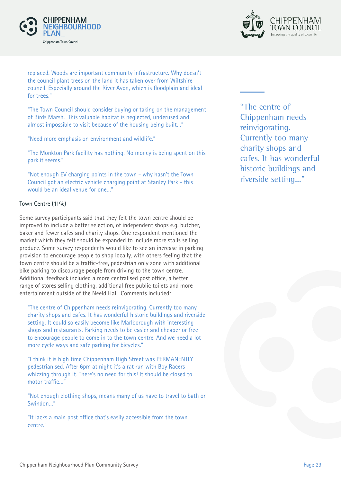



replaced. Woods are important community infrastructure. Why doesn't the council plant trees on the land it has taken over from Wiltshire council. Especially around the River Avon, which is floodplain and ideal for trees."

"The Town Council should consider buying or taking on the management of Birds Marsh. This valuable habitat is neglected, underused and almost impossible to visit because of the housing being built…"

"Need more emphasis on environment and wildlife."

"The Monkton Park facility has nothing. No money is being spent on this park it seems."

"Not enough EV charging points in the town - why hasn't the Town Council got an electric vehicle charging point at Stanley Park - this would be an ideal venue for one…"

#### Town Centre (11%)

Some survey participants said that they felt the town centre should be improved to include a better selection, of independent shops e.g. butcher, baker and fewer cafes and charity shops. One respondent mentioned the market which they felt should be expanded to include more stalls selling produce. Some survey respondents would like to see an increase in parking provision to encourage people to shop locally, with others feeling that the town centre should be a traffic-free, pedestrian only zone with additional bike parking to discourage people from driving to the town centre. Additional feedback included a more centralised post office, a better range of stores selling clothing, additional free public toilets and more entertainment outside of the Neeld Hall. Comments included:

"The centre of Chippenham needs reinvigorating. Currently too many charity shops and cafes. It has wonderful historic buildings and riverside setting. It could so easily become like Marlborough with interesting shops and restaurants. Parking needs to be easier and cheaper or free to encourage people to come in to the town centre. And we need a lot more cycle ways and safe parking for bicycles."

"I think it is high time Chippenham High Street was PERMANENTLY pedestrianised. After 6pm at night it's a rat run with Boy Racers whizzing through it. There's no need for this! It should be closed to motor traffic…"

"Not enough clothing shops, means many of us have to travel to bath or Swindon…"

"It lacks a main post office that's easily accessible from the town centre."

"The centre of Chippenham needs reinvigorating. Currently too many charity shops and cafes. It has wonderful historic buildings and riverside setting..."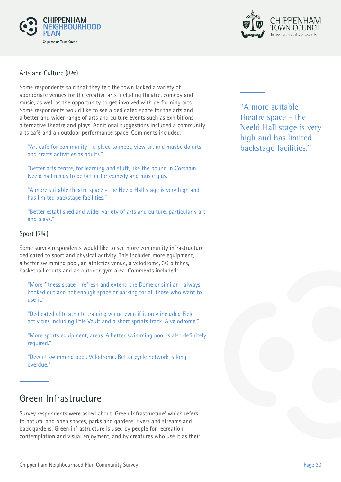



#### Arts and Culture (8%)

Some respondents said that they felt the town lacked a variety of appropriate venues for the creative arts including theatre, comedy and music, as well as the opportunity to get involved with performing arts. Some respondents would like to see a dedicated space for the arts and a better and wider range of arts and culture events such as exhibitions, alternative theatre and plays. Additional suggestions included a community arts café and an outdoor performance space. Comments included:

"Art cafe for community - a place to meet, view art and maybe do arts and crafts activities as adults."

"Better arts centre, for learning and stuff, like the pound in Corsham. Neeld hall needs to be better for comedy and music gigs."

"A more suitable theatre space - the Neeld Hall stage is very high and has limited backstage facilities."

"Better established and wider variety of arts and culture, particularly art and plays."

#### Sport (7%)

Some survey respondents would like to see more community infrastructure dedicated to sport and physical activity. This included more equipment, a better swimming pool, an athletics venue, a velodrome, 3G pitches, basketball courts and an outdoor gym area. Comments included:

"More fitness space - refresh and extend the Dome or similar - always booked out and not enough space or parking for all those who want to use it."

"Dedicated elite athlete training venue even if it only included Field activities including Pole Vault and a short sprints track. A velodrome."

"More sports equipment, areas. A better swimming pool is also definitely required."

"Decent swimming pool. Velodrome. Better cycle network is long overdue."

## Green Infrastructure

Survey respondents were asked about 'Green Infrastructure' which refers to natural and open spaces, parks and gardens, rivers and streams and back gardens. Green infrastructure is used by people for recreation, contemplation and visual enjoyment, and by creatures who use it as their "A more suitable theatre space - the Neeld Hall stage is very high and has limited backstage facilities."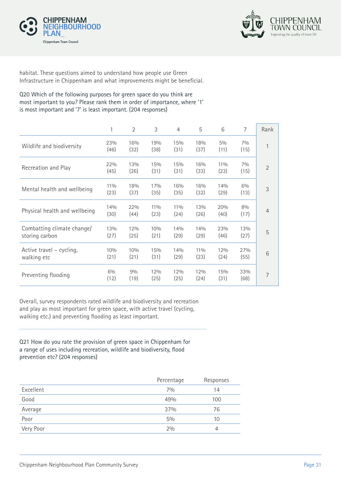



habitat. These questions aimed to understand how people use Green Infrastructure in Chippenham and what improvements might be beneficial.

#### Q20 Which of the following purposes for green space do you think are most important to you? Please rank them in order of importance, where '1' is most important and '7' is least important. (204 responses)

|                                              | 1              | 2           | 3              | $\overline{4}$ | 5              | 6              | 7             | Rank           |
|----------------------------------------------|----------------|-------------|----------------|----------------|----------------|----------------|---------------|----------------|
| Wildlife and biodiversity                    | 23%<br>(46)    | 16%<br>(32) | 19%<br>(38)    | 15%<br>(31)    | 18%<br>(37)    | $5\%$<br>(11)  | $7\%$<br>(15) | $\mathbf{1}$   |
| Recreation and Play                          | 22%<br>(45)    | 13%<br>(26) | 15%<br>(31)    | 15%<br>(31)    | 16%<br>(33)    | $11\%$<br>(23) | $7\%$<br>(15) | $\overline{2}$ |
| Mental health and wellbeing                  | $11\%$<br>(23) | 18%<br>(37) | 17%<br>(35)    | 16%<br>(35)    | 16%<br>(32)    | 14%<br>(29)    | 6%<br>(13)    | 3              |
| Physical health and wellbeing                | 14%<br>(30)    | 22%<br>(44) | $11\%$<br>(23) | $11\%$<br>(24) | 13%<br>(26)    | 20%<br>(40)    | 8%<br>(17)    | $\overline{4}$ |
| Combatting climate change/<br>storing carbon | 13%<br>(27)    | 12%<br>(25) | 10%<br>(21)    | 14%<br>(29)    | 14%<br>(29)    | 23%<br>(46)    | 13%<br>(27)   | 5              |
| Active travel – cycling,<br>walking etc      | 10%<br>(21)    | 10%<br>(21) | 15%<br>(31)    | 14%<br>(29)    | $11\%$<br>(23) | 12%<br>(24)    | 27%<br>(55)   | 6              |
| Preventing flooding                          | 6%<br>(12)     | 9%<br>(19)  | 12%<br>(25)    | 12%<br>(25)    | 12%<br>(24)    | 15%<br>(31)    | 33%<br>(68)   | 7              |

Overall, survey respondents rated wildlife and biodiversity and recreation and play as most important for green space, with active travel (cycling, walking etc.) and preventing flooding as least important.

Q21 How do you rate the provision of green space in Chippenham for a range of uses including recreation, wildlife and biodiversity, flood prevention etc? (204 responses)

|           | Percentage | Responses |
|-----------|------------|-----------|
| Excellent | 70/0       | 14        |
| Good      | 49%        | 100       |
| Average   | 37%        | 76        |
| Poor      | $5\%$      | 10        |
| Very Poor | 2%         | 4         |
|           |            |           |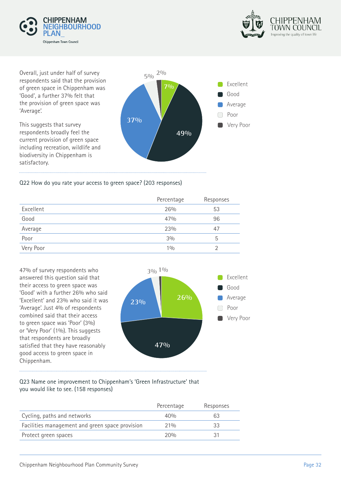



Overall, just under half of survey respondents said that the provision of green space in Chippenham was 'Good', a further 37% felt that the provision of green space was 'Average'.

This suggests that survey respondents broadly feel the current provision of green space including recreation, wildlife and biodiversity in Chippenham is satisfactory.



#### Q22 How do you rate your access to green space? (203 responses)

|           | Percentage | Responses |
|-----------|------------|-----------|
| Excellent | 26%        | 53        |
| Good      | 47%        | 96        |
| Average   | 23%        | 47        |
| Poor      | 3%         | 5         |
| Very Poor | 10/0       |           |
|           |            |           |

47% of survey respondents who answered this question said that their access to green space was 'Good' with a further 26% who said 'Excellent' and 23% who said it was 'Average'. Just 4% of respondents combined said that their access to green space was 'Poor' (3%) or 'Very Poor' (1%). This suggests that respondents are broadly satisfied that they have reasonably good access to green space in Chippenham.



#### Q23 Name one improvement to Chippenham's 'Green Infrastructure' that you would like to see. (158 responses)

| Percentage | Responses |
|------------|-----------|
| 40%        | 63        |
| 21%        |           |
| 200h       |           |
|            |           |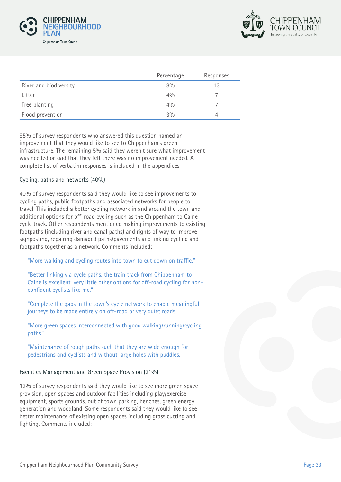



|                        | Percentage | Responses |
|------------------------|------------|-----------|
| River and biodiversity | 8%         |           |
| Litter                 | 40/0       |           |
| Tree planting          | 40/6       |           |
| Flood prevention       | 3%         |           |

95% of survey respondents who answered this question named an improvement that they would like to see to Chippenham's green infrastructure. The remaining 5% said they weren't sure what improvement was needed or said that they felt there was no improvement needed. A complete list of verbatim responses is included in the appendices

#### Cycling, paths and networks (40%)

40% of survey respondents said they would like to see improvements to cycling paths, public footpaths and associated networks for people to travel. This included a better cycling network in and around the town and additional options for off-road cycling such as the Chippenham to Calne cycle track. Other respondents mentioned making improvements to existing footpaths (including river and canal paths) and rights of way to improve signposting, repairing damaged paths/pavements and linking cycling and footpaths together as a network. Comments included:

"More walking and cycling routes into town to cut down on traffic."

"Better linking via cycle paths. the train track from Chippenham to Calne is excellent. very little other options for off-road cycling for nonconfident cyclists like me."

"Complete the gaps in the town's cycle network to enable meaningful journeys to be made entirely on off-road or very quiet roads."

"More green spaces interconnected with good walking/running/cycling paths."

"Maintenance of rough paths such that they are wide enough for pedestrians and cyclists and without large holes with puddles."

#### Facilities Management and Green Space Provision (21%)

12% of survey respondents said they would like to see more green space provision, open spaces and outdoor facilities including play/exercise equipment, sports grounds, out of town parking, benches, green energy generation and woodland. Some respondents said they would like to see better maintenance of existing open spaces including grass cutting and lighting. Comments included: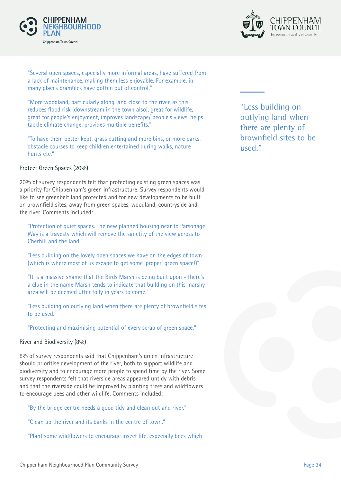



"Several open spaces, especially more informal areas, have suffered from a lack of maintenance, making them less enjoyable. For example, in many places brambles have gotten out of control."

"More woodland, particularly along land close to the river, as this reduces flood risk (downstream in the town also), great for wildlife, great for people's enjoyment, improves landscape/ people's views, helps tackle climate change, provides multiple benefits."

"To have them better kept, grass cutting and more bins, or more parks, obstacle courses to keep children entertained during walks, nature hunts etc."

#### Protect Green Spaces (20%)

20% of survey respondents felt that protecting existing green spaces was a priority for Chippenham's green infrastructure. Survey respondents would like to see greenbelt land protected and for new developments to be built on brownfield sites, away from green spaces, woodland, countryside and the river. Comments included:

"Protection of quiet spaces. The new planned housing near to Parsonage Way is a travesty which will remove the sanctity of the view across to Cherhill and the land."

"Less building on the lovely open spaces we have on the edges of town (which is where most of us escape to get some 'proper' green space!)"

"It is a massive shame that the Birds Marsh is being built upon - there's a clue in the name Marsh tends to indicate that building on this marshy area will be deemed utter folly in years to come."

"Less building on outlying land when there are plenty of brownfield sites to be used."

"Protecting and maximising potential of every scrap of green space."

#### River and Biodiversity (8%)

8% of survey respondents said that Chippenham's green infrastructure should prioritise development of the river, both to support wildlife and biodiversity and to encourage more people to spend time by the river. Some survey respondents felt that riverside areas appeared untidy with debris and that the riverside could be improved by planting trees and wildflowers to encourage bees and other wildlife. Comments included:

"By the bridge centre needs a good tidy and clean out and river."

"Clean up the river and its banks in the centre of town."

"Plant some wildflowers to encourage insect life, especially bees which

"Less building on outlying land when there are plenty of brownfield sites to be used."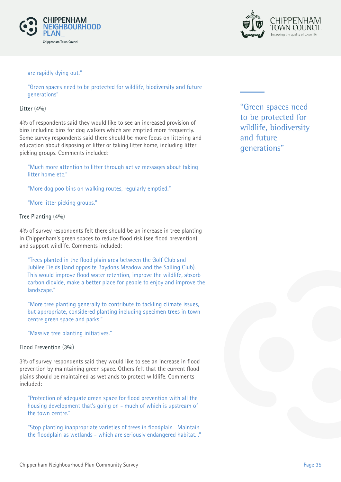



#### are rapidly dying out."

"Green spaces need to be protected for wildlife, biodiversity and future generations"

#### Litter (4%)

4% of respondents said they would like to see an increased provision of bins including bins for dog walkers which are emptied more frequently. Some survey respondents said there should be more focus on littering and education about disposing of litter or taking litter home, including litter picking groups. Comments included:

"Much more attention to litter through active messages about taking litter home etc."

"More dog poo bins on walking routes, regularly emptied."

"More litter picking groups."

#### Tree Planting (4%)

4% of survey respondents felt there should be an increase in tree planting in Chippenham's green spaces to reduce flood risk (see flood prevention) and support wildlife. Comments included:

"Trees planted in the flood plain area between the Golf Club and Jubilee Fields (land opposite Baydons Meadow and the Sailing Club). This would improve flood water retention, improve the wildlife, absorb carbon dioxide, make a better place for people to enjoy and improve the landscape."

"More tree planting generally to contribute to tackling climate issues, but appropriate, considered planting including specimen trees in town centre green space and parks."

"Massive tree planting initiatives."

#### Flood Prevention (3%)

3% of survey respondents said they would like to see an increase in flood prevention by maintaining green space. Others felt that the current flood plains should be maintained as wetlands to protect wildlife. Comments included:

"Protection of adequate green space for flood prevention with all the housing development that's going on - much of which is upstream of the town centre."

"Stop planting inappropriate varieties of trees in floodplain. Maintain the floodplain as wetlands - which are seriously endangered habitat..." "Green spaces need to be protected for wildlife, biodiversity and future generations"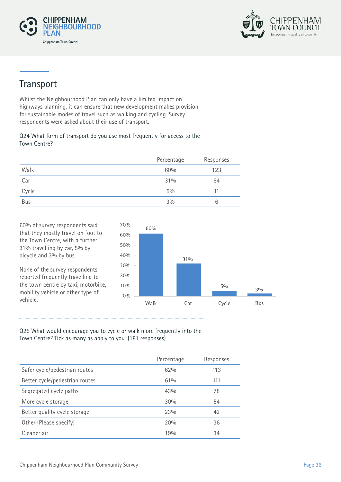



# Transport

Whilst the Neighbourhood Plan can only have a limited impact on highways planning, it can ensure that new development makes provision for sustainable modes of travel such as walking and cycling. Survey respondents were asked about their use of transport.

#### Q24 What form of transport do you use most frequently for access to the Town Centre?

|            | Percentage | Responses |
|------------|------------|-----------|
| Walk       | 60%        | 123       |
| Car        | 31%        | 64        |
| Cycle      | $5\%$      | 11        |
| <b>Bus</b> | 3%         | 6         |

60% of survey respondents said that they mostly travel on foot to the Town Centre, with a further 31% travelling by car, 5% by bicycle and 3% by bus.

None of the survey respondents reported frequently travelling to the town centre by taxi, motorbike, mobility vehicle or other type of vehicle.



#### Q25 What would encourage you to cycle or walk more frequently into the Town Centre? Tick as many as apply to you. (181 responses)

|                                | Percentage | Responses |
|--------------------------------|------------|-----------|
| Safer cycle/pedestrian routes  | 62%        | 113       |
| Better cycle/pedestrian routes | 61%        | 111       |
| Segregated cycle paths         | 43%        | 78        |
| More cycle storage             | 30%        | 54        |
| Better quality cycle storage   | 23%        | 42        |
| Other (Please specify)         | 20%        | 36        |
| Cleaner air                    | 19%        | 34        |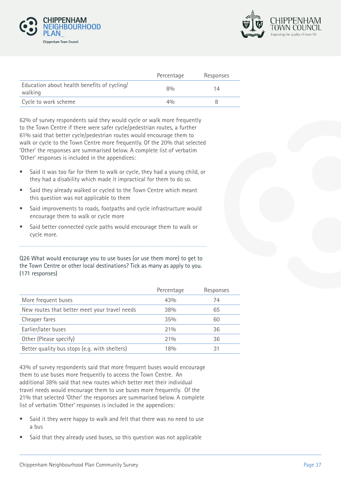



|                                                        | Percentage | Responses |
|--------------------------------------------------------|------------|-----------|
| Education about health benefits of cycling/<br>walking | 80/n       | 14        |
| Cycle to work scheme                                   | 40/6       |           |

62% of survey respondents said they would cycle or walk more frequently to the Town Centre if there were safer cycle/pedestrian routes, a further 61% said that better cycle/pedestrian routes would encourage them to walk or cycle to the Town Centre more frequently. Of the 20% that selected 'Other' the responses are summarised below. A complete list of verbatim 'Other' responses is included in the appendices:

- Said it was too far for them to walk or cycle, they had a young child, or they had a disability which made it impractical for them to do so.
- Said they already walked or cycled to the Town Centre which meant this question was not applicable to them
- Said improvements to roads, footpaths and cycle infrastructure would encourage them to walk or cycle more
- Said better connected cycle paths would encourage them to walk or cycle more.

Q26 What would encourage you to use buses (or use them more) to get to the Town Centre or other local destinations? Tick as many as apply to you. (171 responses)

|                                               | Percentage | Responses |
|-----------------------------------------------|------------|-----------|
| More frequent buses                           | 43%        | 74        |
| New routes that better meet your travel needs | 38%        | 65        |
| Cheaper fares                                 | 35%        | 60        |
| Earlier/later buses                           | 21%        | 36        |
| Other (Please specify)                        | 21%        | 36        |
| Better quality bus stops (e.g. with shelters) | 18%        | 31        |

43% of survey respondents said that more frequent buses would encourage them to use buses more frequently to access the Town Centre. An additional 38% said that new routes which better met their individual travel needs would encourage them to use buses more frequently. Of the 21% that selected 'Other' the responses are summarised below. A complete list of verbatim 'Other' responses is included in the appendices:

- Said it they were happy to walk and felt that there was no need to use a bus
- Said that they already used buses, so this question was not applicable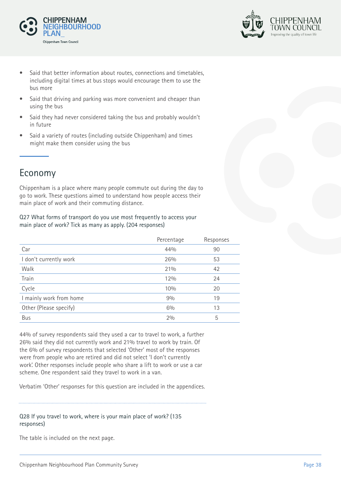



- Said that better information about routes, connections and timetables, including digital times at bus stops would encourage them to use the bus more
- Said that driving and parking was more convenient and cheaper than using the bus
- Said they had never considered taking the bus and probably wouldn't in future
- Said a variety of routes (including outside Chippenham) and times might make them consider using the bus

## Economy

Chippenham is a place where many people commute out during the day to go to work. These questions aimed to understand how people access their main place of work and their commuting distance.

Q27 What forms of transport do you use most frequently to access your main place of work? Tick as many as apply. (204 responses)

| Percentage | Responses                                         |
|------------|---------------------------------------------------|
|            | 90                                                |
|            | 53                                                |
|            | 42                                                |
|            | 24                                                |
|            | 20                                                |
|            | 19                                                |
|            | 13                                                |
|            | 5                                                 |
|            | 44%<br>26%<br>21%<br>12%<br>10%<br>9%<br>6%<br>2% |

44% of survey respondents said they used a car to travel to work, a further 26% said they did not currently work and 21% travel to work by train. Of the 6% of survey respondents that selected 'Other' most of the responses were from people who are retired and did not select 'I don't currently work'. Other responses include people who share a lift to work or use a car scheme. One respondent said they travel to work in a van.

Verbatim 'Other' responses for this question are included in the appendices.

#### Q28 If you travel to work, where is your main place of work? (135 responses)

The table is included on the next page.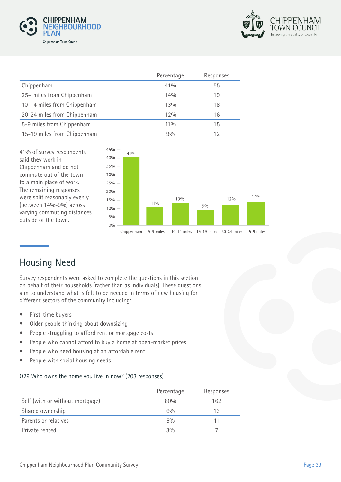



|                             | Percentage | Responses |
|-----------------------------|------------|-----------|
| Chippenham                  | $41\%$     | 55        |
| 25+ miles from Chippenham   | 14%        | 19        |
| 10-14 miles from Chippenham | 13%        | 18        |
| 20-24 miles from Chippenham | 12%        | 16        |
| 5-9 miles from Chippenham   | $11\%$     | 15        |
| 15-19 miles from Chippenham | 90/0       | 12        |

41% of survey respondents said they work in Chippenham and do not commute out of the town to a main place of work. The remaining responses were split reasonably evenly (between 14%-9%) across varying commuting distances outside of the town.



# Housing Need

Survey respondents were asked to complete the questions in this section on behalf of their households (rather than as individuals). These questions aim to understand what is felt to be needed in terms of new housing for different sectors of the community including:

- First-time buyers
- Older people thinking about downsizing
- People struggling to afford rent or mortgage costs
- People who cannot afford to buy a home at open-market prices
- People who need housing at an affordable rent
- People with social housing needs

#### Q29 Who owns the home you live in now? (203 responses)

|                                 | Percentage | Responses |
|---------------------------------|------------|-----------|
| Self (with or without mortgage) | 80%        | 162       |
| Shared ownership                | $6\%$      | 13        |
| Parents or relatives            | $5\%$      |           |
| Private rented                  | 3%         |           |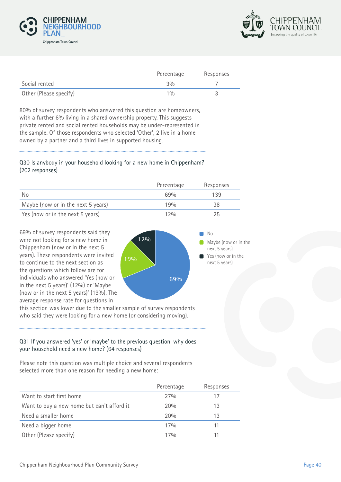



|                        | Percentage | Responses |
|------------------------|------------|-----------|
| Social rented          | 3%         |           |
| Other (Please specify) | 10/n       |           |

80% of survey respondents who answered this question are homeowners, with a further 6% living in a shared ownership property. This suggests private rented and social rented households may be under-represented in the sample. Of those respondents who selected 'Other', 2 live in a home owned by a partner and a third lives in supported housing.

#### Q30 Is anybody in your household looking for a new home in Chippenham? (202 responses)

|                                    | Percentage       | Responses |
|------------------------------------|------------------|-----------|
| No                                 | 6.9%             | 139       |
| Maybe (now or in the next 5 years) | 190 <sub>0</sub> | 38        |
| Yes (now or in the next 5 years)   | 120/n            | クら        |

69% of survey respondents said they were not looking for a new home in Chippenham (now or in the next 5 years). These respondents were invited to continue to the next section as the questions which follow are for individuals who answered 'Yes (now or in the next 5 years)' (12%) or 'Maybe (now or in the next 5 years)' (19%). The average response rate for questions in



this section was lower due to the smaller sample of survey respondents who said they were looking for a new home (or considering moving).

#### Q31 If you answered 'yes' or 'maybe' to the previous question, why does your household need a new home? (64 responses)

Please note this question was multiple choice and several respondents selected more than one reason for needing a new home:

|                                            | Percentage | Responses |
|--------------------------------------------|------------|-----------|
| Want to start first home                   | 27%        |           |
| Want to buy a new home but can't afford it | 20%        | 13        |
| Need a smaller home                        | 20%        | 13        |
| Need a bigger home                         | 17%        |           |
| Other (Please specify)                     | 17%        |           |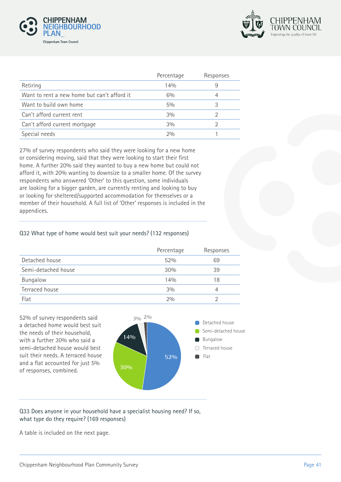



|                                             | Percentage | Responses |
|---------------------------------------------|------------|-----------|
| Retiring                                    | 14%        | 9         |
| Want to rent a new home but can't afford it | $6\%$      |           |
| Want to build own home                      | $5\%$      |           |
| Can't afford current rent                   | 3%         |           |
| Can't afford current mortgage               | 3%         |           |
| Special needs                               | 20/n       |           |

27% of survey respondents who said they were looking for a new home or considering moving, said that they were looking to start their first home. A further 20% said they wanted to buy a new home but could not afford it, with 20% wanting to downsize to a smaller home. Of the survey respondents who answered 'Other' to this question, some individuals are looking for a bigger garden, are currently renting and looking to buy or looking for sheltered/supported accommodation for themselves or a member of their household. A full list of 'Other' responses is included in the appendices.

#### Q32 What type of home would best suit your needs? (132 responses)

|                     | Percentage | Responses |
|---------------------|------------|-----------|
| Detached house      | 52%        | 69        |
| Semi-detached house | 30%        | 39        |
| Bungalow            | 14%        | 18        |
| Terraced house      | 3%         | 4         |
| Flat                | 2%         |           |

52% of survey respondents said **3% 2%** a detached home would best suit the needs of their household, with a further 30% who said a semi-detached house would best suit their needs. A terraced house and a flat accounted for just 5% of responses, combined.



#### Q33 Does anyone in your household have a specialist housing need? If so, what type do they require? (169 responses)

A table is included on the next page.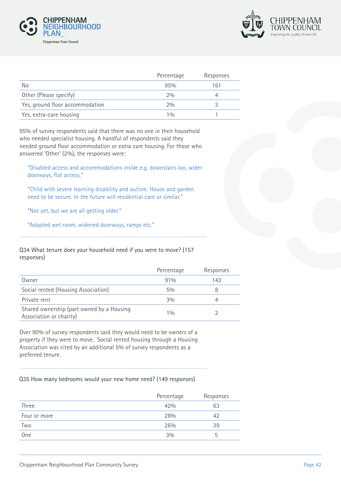



|                                 | Percentage | Responses |
|---------------------------------|------------|-----------|
| No.                             | 95%        | 161       |
| Other (Please specify)          | 20/0       |           |
| Yes, ground floor accommodation | 20/0       |           |
| Yes, extra-care housing         | 10/n       |           |

95% of survey respondents said that there was no one in their household who needed specialist housing. A handful of respondents said they needed ground floor accommodation or extra care housing. For those who answered 'Other' (2%), the responses were:

"Disabled access and accommodations inside e.g. downstairs loo, wider doorways, flat access."

"Child with severe learning disability and autism. House and garden need to be secure. In the future will residential care or similar."

"Not yet, but we are all getting older."

"Adapted wet room, widened doorways, ramps etc."

#### Q34 What tenure does your household need if you were to move? (157 responses)

|                                                                      | Percentage | Responses |
|----------------------------------------------------------------------|------------|-----------|
| Owner                                                                | 91%        | 143       |
| Social rented (Housing Association)                                  | $5\%$      |           |
| Private rent                                                         | 3%         |           |
| Shared ownership (part owned by a Housing<br>Association or charity) | 10/0       |           |

Over 90% of survey respondents said they would need to be owners of a property if they were to move. Social rented housing through a Housing Association was cited by an additional 5% of survey respondents as a preferred tenure.

#### Q35 How many bedrooms would your new home need? (149 responses)

| Percentage | Responses |
|------------|-----------|
| 42%        | 63        |
| 28%        | 42        |
| 26%        | 39        |
| 3%         | b         |
|            |           |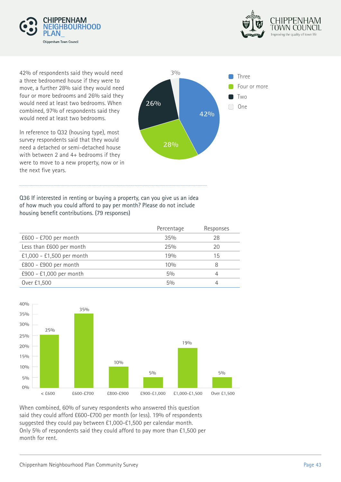



42% of respondents said they would need a three bedroomed house if they were to move, a further 28% said they would need four or more bedrooms and 26% said they would need at least two bedrooms. When combined, 97% of respondents said they would need at least two bedrooms.

In reference to Q32 (housing type), most survey respondents said that they would need a detached or semi-detached house with between 2 and 4+ bedrooms if they were to move to a new property, now or in the next five years.



Q36 If interested in renting or buying a property, can you give us an idea of how much you could afford to pay per month? Please do not include housing benefit contributions. (79 responses)

|                           | Percentage | Responses |
|---------------------------|------------|-----------|
| £600 - £700 per month     | 35%        | 28        |
| Less than £600 per month  | 25%        | 20        |
| £1,000 - £1,500 per month | 19%        | 15        |
| £800 - £900 per month     | 10%        | 8         |
| £900 - £1,000 per month   | $5\%$      |           |
| Over £1,500               | 50/6       |           |
|                           |            |           |



When combined, 60% of survey respondents who answered this question said they could afford £600-£700 per month (or less). 19% of respondents suggested they could pay between £1,000-£1,500 per calendar month. Only 5% of respondents said they could afford to pay more than £1,500 per month for rent.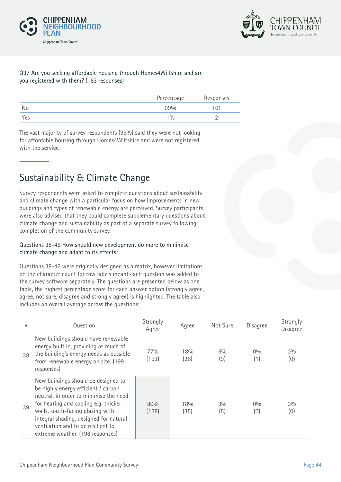



#### Q37 Are you seeking affordable housing through Homes4Wiltshire and are you registered with them? (163 responses)

|     | Percentage | Responses |
|-----|------------|-----------|
| No  | 99%        | 161       |
| Yes | 10/0       |           |

The vast majority of survey respondents (99%) said they were not looking for affordable housing through Homes4Wiltshire and were not registered with the service.

# Sustainability & Climate Change

Survey respondents were asked to complete questions about sustainability and climate change with a particular focus on how improvements in new buildings and types of renewable energy are perceived. Survey participants were also advised that they could complete supplementary questions about climate change and sustainability as part of a separate survey following completion of the community survey.

#### Questions 38-46 How should new development do more to minimise climate change and adapt to its effects?

Questions 38-46 were originally designed as a matrix, however limitations on the character count for row labels meant each question was added to the survey software separately. The questions are presented below as one table, the highest percentage score for each answer option (strongly agree, agree, not sure, disagree and strongly agree) is highlighted. The table also includes an overall average across the questions:

| #  | Question                                                                                                                                                                                                                                                                                                             | Strongly<br>Agree | Agree       | Not Sure     | Disagree     | Strongly<br><b>Disagree</b> |
|----|----------------------------------------------------------------------------------------------------------------------------------------------------------------------------------------------------------------------------------------------------------------------------------------------------------------------|-------------------|-------------|--------------|--------------|-----------------------------|
| 38 | New buildings should have renewable<br>energy built in, providing as much of<br>the building's energy needs as possible<br>from renewable energy on site. (199<br>responses)                                                                                                                                         | 77%<br>(153)      | 18%<br>(36) | $5\%$<br>(9) | $0\%$<br>(1) | $0\%$<br>(0)                |
| 39 | New buildings should be designed to<br>be highly energy efficient / carbon<br>neutral, in order to minimise the need<br>for heating and cooling e.g. thicker<br>walls, south-facing glazing with<br>integral shading, designed for natural<br>ventilation and to be resilient to<br>extreme weather. (198 responses) | 80%<br>(158)      | 18%<br>(35) | 3%<br>(5)    | $0\%$<br>(0) | $0\%$<br>(0)                |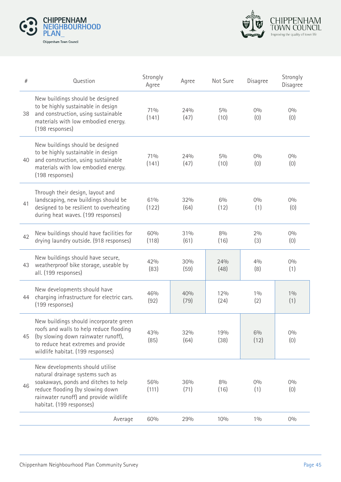



| #  | Question                                                                                                                                                                                                              | Strongly<br>Agree | Agree       | Not Sure      | Disagree     | Strongly<br>Disagree |
|----|-----------------------------------------------------------------------------------------------------------------------------------------------------------------------------------------------------------------------|-------------------|-------------|---------------|--------------|----------------------|
| 38 | New buildings should be designed<br>to be highly sustainable in design<br>and construction, using sustainable<br>materials with low embodied energy.<br>(198 responses)                                               | 71%<br>(141)      | 24%<br>(47) | $5\%$<br>(10) | 0%<br>(0)    | 0%<br>(0)            |
| 40 | New buildings should be designed<br>to be highly sustainable in design<br>and construction, using sustainable<br>materials with low embodied energy.<br>(198 responses)                                               | 71%<br>(141)      | 24%<br>(47) | 5%<br>(10)    | $0\%$<br>(0) | 0%<br>(0)            |
| 41 | Through their design, layout and<br>landscaping, new buildings should be<br>designed to be resilient to overheating<br>during heat waves. (199 responses)                                                             | 61%<br>(122)      | 32%<br>(64) | 6%<br>(12)    | 0%<br>(1)    | 0%<br>(0)            |
| 42 | New buildings should have facilities for<br>drying laundry outside. (918 responses)                                                                                                                                   | 60%<br>(118)      | 31%<br>(61) | 8%<br>(16)    | 2%<br>(3)    | 0%<br>(0)            |
| 43 | New buildings should have secure,<br>weatherproof bike storage, useable by<br>all. (199 responses)                                                                                                                    | 42%<br>(83)       | 30%<br>(59) | 24%<br>(48)   | 40/0<br>(8)  | 0%<br>(1)            |
| 44 | New developments should have<br>charging infrastructure for electric cars.<br>(199 responses)                                                                                                                         | 46%<br>(92)       | 40%<br>(79) | 12%<br>(24)   | 10/0<br>(2)  | 10/0<br>(1)          |
| 45 | New buildings should incorporate green<br>roofs and walls to help reduce flooding<br>(by slowing down rainwater runoff),<br>to reduce heat extremes and provide<br>wildlife habitat. (199 responses)                  | 43%<br>(85)       | 32%<br>(64) | 19%<br>(38)   | 6%<br>(12)   | 0%<br>(0)            |
| 46 | New developments should utilise<br>natural drainage systems such as<br>soakaways, ponds and ditches to help<br>reduce flooding (by slowing down<br>rainwater runoff) and provide wildlife<br>habitat. (199 responses) | 56%<br>(111)      | 36%<br>(71) | 8%<br>(16)    | $0\%$<br>(1) | 0%<br>(0)            |
|    | Average                                                                                                                                                                                                               | 60%               | 29%         | 10%           | 10/0         | 0%                   |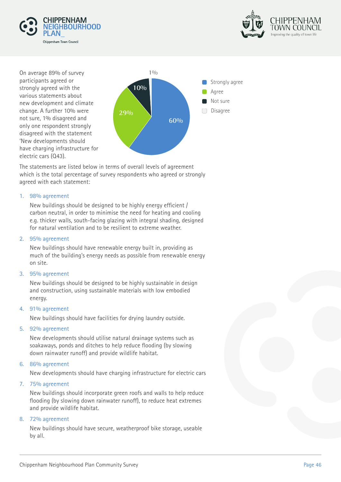



On average 89% of survey participants agreed or strongly agreed with the various statements about new development and climate change. A further 10% were not sure, 1% disagreed and only one respondent strongly disagreed with the statement 'New developments should have charging infrastructure for electric cars (Q43).



The statements are listed below in terms of overall levels of agreement which is the total percentage of survey respondents who agreed or strongly agreed with each statement:

#### 1. 98% agreement

New buildings should be designed to be highly energy efficient / carbon neutral, in order to minimise the need for heating and cooling e.g. thicker walls, south-facing glazing with integral shading, designed for natural ventilation and to be resilient to extreme weather.

#### 2. 95% agreement

New buildings should have renewable energy built in, providing as much of the building's energy needs as possible from renewable energy on site.

#### 3. 95% agreement

New buildings should be designed to be highly sustainable in design and construction, using sustainable materials with low embodied energy.

#### 4. 91% agreement

New buildings should have facilities for drying laundry outside.

#### 5. 92% agreement

New developments should utilise natural drainage systems such as soakaways, ponds and ditches to help reduce flooding (by slowing down rainwater runoff) and provide wildlife habitat.

#### 6. 86% agreement

New developments should have charging infrastructure for electric cars

#### 7. 75% agreement

New buildings should incorporate green roofs and walls to help reduce flooding (by slowing down rainwater runoff), to reduce heat extremes and provide wildlife habitat.

#### 8. 72% agreement

New buildings should have secure, weatherproof bike storage, useable by all.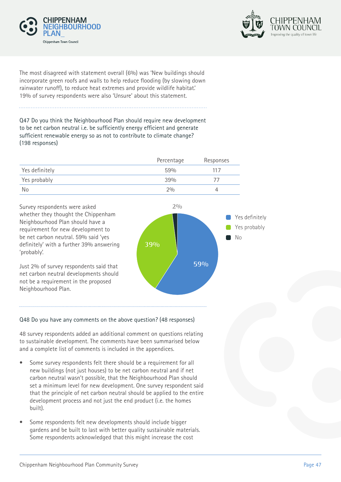



The most disagreed with statement overall (6%) was 'New buildings should incorporate green roofs and walls to help reduce flooding (by slowing down rainwater runoff), to reduce heat extremes and provide wildlife habitat.' 19% of survey respondents were also 'Unsure' about this statement.

Q47 Do you think the Neighbourhood Plan should require new development to be net carbon neutral i.e. be sufficiently energy efficient and generate sufficient renewable energy so as not to contribute to climate change? (198 responses)

|                | Percentage | Responses |
|----------------|------------|-----------|
| Yes definitely | 59%        | 117       |
| Yes probably   | 39%        |           |
| No.            | 20/0       |           |

Survey respondents were asked whether they thought the Chippenham Neighbourhood Plan should have a requirement for new development to be net carbon neutral. 59% said 'yes definitely' with a further 39% answering 'probably'.

Just 2% of survey respondents said that net carbon neutral developments should not be a requirement in the proposed Neighbourhood Plan.



#### Q48 Do you have any comments on the above question? (48 responses)

48 survey respondents added an additional comment on questions relating to sustainable development. The comments have been summarised below and a complete list of comments is included in the appendices.

- Some survey respondents felt there should be a requirement for all new buildings (not just houses) to be net carbon neutral and if net carbon neutral wasn't possible, that the Neighbourhood Plan should set a minimum level for new development. One survey respondent said that the principle of net carbon neutral should be applied to the entire development process and not just the end product (i.e. the homes built).
- Some respondents felt new developments should include bigger gardens and be built to last with better quality sustainable materials. Some respondents acknowledged that this might increase the cost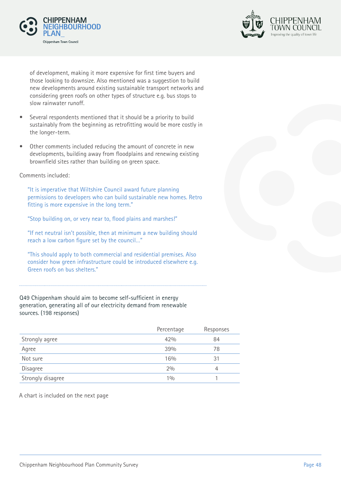



of development, making it more expensive for first time buyers and those looking to downsize. Also mentioned was a suggestion to build new developments around existing sustainable transport networks and considering green roofs on other types of structure e.g. bus stops to slow rainwater runoff.

- Several respondents mentioned that it should be a priority to build sustainably from the beginning as retrofitting would be more costly in the longer-term.
- Other comments included reducing the amount of concrete in new developments, building away from floodplains and renewing existing brownfield sites rather than building on green space.

Comments included:

"It is imperative that Wiltshire Council award future planning permissions to developers who can build sustainable new homes. Retro fitting is more expensive in the long term."

"Stop building on, or very near to, flood plains and marshes!"

"If net neutral isn't possible, then at minimum a new building should reach a low carbon figure set by the council…"

"This should apply to both commercial and residential premises. Also consider how green infrastructure could be introduced elsewhere e.g. Green roofs on bus shelters."

Q49 Chippenham should aim to become self-sufficient in energy generation, generating all of our electricity demand from renewable sources. (198 responses)

| Percentage | Responses |
|------------|-----------|
| 42%        | 84        |
| 39%        | 78        |
| 16%        | 31        |
| 2%         | 4         |
| 10/0       |           |
|            |           |

A chart is included on the next page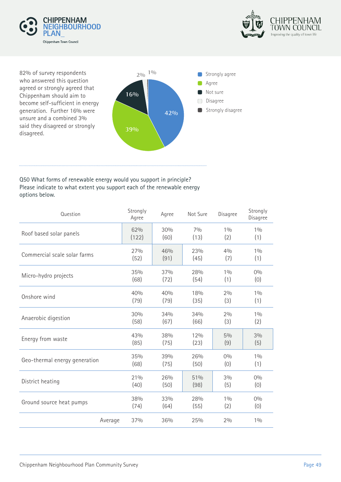



82% of survey respondents who answered this question agreed or strongly agreed that Chippenham should aim to become self-sufficient in energy generation. Further 16% were unsure and a combined 3% said they disagreed or strongly disagreed.



#### Q50 What forms of renewable energy would you support in principle? Please indicate to what extent you support each of the renewable energy options below.

| Question                      | Strongly<br>Agree | Agree | Not Sure | Disagree | Strongly<br>Disagree |
|-------------------------------|-------------------|-------|----------|----------|----------------------|
| Roof based solar panels       | 62%               | 30%   | 70/0     | 10/0     | 10/0                 |
|                               | (122)             | (60)  | (13)     | (2)      | (1)                  |
| Commercial scale solar farms  | 27%               | 46%   | 23%      | 40/0     | 10/0                 |
|                               | (52)              | (91)  | (45)     | (7)      | (1)                  |
| Micro-hydro projects          | 35%               | 37%   | 28%      | 10/0     | 0%                   |
|                               | (68)              | (72)  | (54)     | (1)      | (0)                  |
| Onshore wind                  | 40%               | 40%   | 18%      | 2%       | 10/0                 |
|                               | (79)              | (79)  | (35)     | (3)      | (1)                  |
| Anaerobic digestion           | 30%               | 34%   | 34%      | 2%       | 10/0                 |
|                               | (58)              | (67)  | (66)     | (3)      | (2)                  |
| Energy from waste             | 43%               | 38%   | 12%      | $5\%$    | 3%                   |
|                               | (85)              | (75)  | (23)     | (9)      | (5)                  |
| Geo-thermal energy generation | 35%               | 39%   | 26%      | 0%       | 10/0                 |
|                               | (68)              | (75)  | (50)     | (0)      | (1)                  |
| District heating              | 21%               | 26%   | 51%      | 3%       | 0%                   |
|                               | (40)              | (50)  | (98)     | (5)      | (0)                  |
| Ground source heat pumps      | 38%               | 33%   | 28%      | 10/0     | 0%                   |
|                               | (74)              | (64)  | (55)     | (2)      | (0)                  |
| Average                       | 37%               | 36%   | 25%      | 2%       | 10/0                 |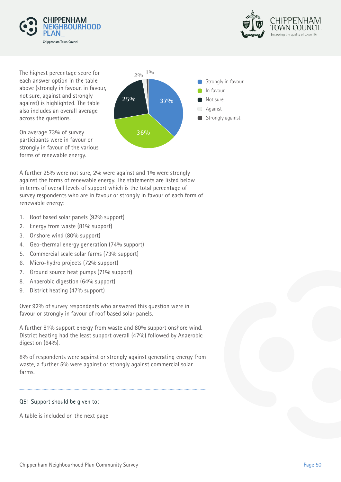



The highest percentage score for  $20/10^{10}$ each answer option in the table above (strongly in favour, in favour, not sure, against and strongly against) is highlighted. The table also includes an overall average across the questions.

On average 73% of survey participants were in favour or strongly in favour of the various forms of renewable energy.



A further 25% were not sure, 2% were against and 1% were strongly against the forms of renewable energy. The statements are listed below in terms of overall levels of support which is the total percentage of survey respondents who are in favour or strongly in favour of each form of renewable energy:

- 1. Roof based solar panels (92% support)
- 2. Energy from waste (81% support)
- 3. Onshore wind (80% support)
- 4. Geo-thermal energy generation (74% support)
- 5. Commercial scale solar farms (73% support)
- 6. Micro-hydro projects (72% support)
- 7. Ground source heat pumps (71% support)
- 8. Anaerobic digestion (64% support)
- 9. District heating (47% support)

Over 92% of survey respondents who answered this question were in favour or strongly in favour of roof based solar panels.

A further 81% support energy from waste and 80% support onshore wind. District heating had the least support overall (47%) followed by Anaerobic digestion (64%).

8% of respondents were against or strongly against generating energy from waste, a further 5% were against or strongly against commercial solar farms.

#### Q51 Support should be given to:

A table is included on the next page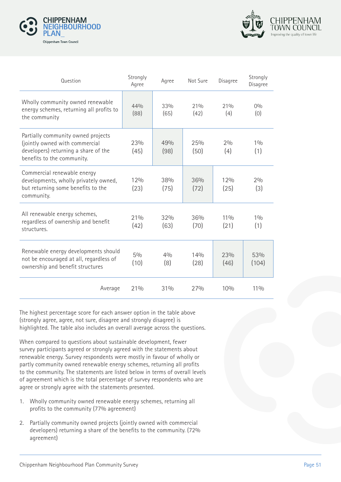



| Question                                                                                                                                   | Strongly<br>Agree | Agree       | Not Sure      | Disagree       | Strongly<br>Disagree |
|--------------------------------------------------------------------------------------------------------------------------------------------|-------------------|-------------|---------------|----------------|----------------------|
| Wholly community owned renewable<br>energy schemes, returning all profits to<br>the community                                              | 44%<br>(88)       | 33%<br>(65) | 21%<br>(42)   | 21%<br>(4)     | 0%<br>(0)            |
| Partially community owned projects<br>(jointly owned with commercial<br>developers) returning a share of the<br>benefits to the community. | 23%<br>(45)       | 49%<br>(98) | 25%<br>(50)   | 2%<br>(4)      | 10/0<br>(1)          |
| Commercial renewable energy<br>developments, wholly privately owned,<br>but returning some benefits to the<br>community.                   | 12%<br>(23)       | 38%<br>(75) | 36%<br>(72)   | 12%<br>(25)    | 2%<br>(3)            |
| All renewable energy schemes,<br>regardless of ownership and benefit<br>structures.                                                        | 21%<br>(42)       | 32%<br>(63) | 36%<br>(70)   | $11\%$<br>(21) | 10/0<br>(1)          |
| Renewable energy developments should<br>not be encouraged at all, regardless of<br>ownership and benefit structures                        | $5\%$<br>(10)     | 40/0<br>(8) | 140/n<br>(28) | 23%<br>(46)    | 53%<br>(104)         |
| Average                                                                                                                                    | 21%               | 31%         | 27%           | 10%            | $11\%$               |

The highest percentage score for each answer option in the table above (strongly agree, agree, not sure, disagree and strongly disagree) is highlighted. The table also includes an overall average across the questions.

When compared to questions about sustainable development, fewer survey participants agreed or strongly agreed with the statements about renewable energy. Survey respondents were mostly in favour of wholly or partly community owned renewable energy schemes, returning all profits to the community. The statements are listed below in terms of overall levels of agreement which is the total percentage of survey respondents who are agree or strongly agree with the statements presented.

- 1. Wholly community owned renewable energy schemes, returning all profits to the community (77% agreement)
- 2. Partially community owned projects (jointly owned with commercial developers) returning a share of the benefits to the community. (72% agreement)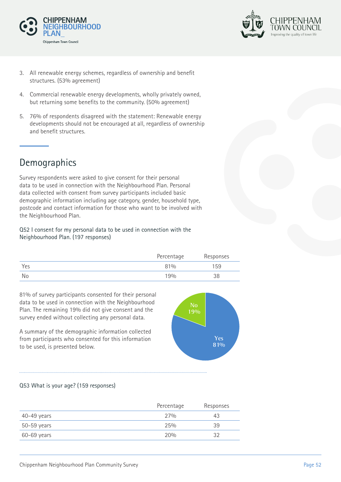



- 3. All renewable energy schemes, regardless of ownership and benefit structures. (53% agreement)
- 4. Commercial renewable energy developments, wholly privately owned, but returning some benefits to the community. (50% agreement)
- 5. 76% of respondents disagreed with the statement: Renewable energy developments should not be encouraged at all, regardless of ownership and benefit structures.

# Demographics

Survey respondents were asked to give consent for their personal data to be used in connection with the Neighbourhood Plan. Personal data collected with consent from survey participants included basic demographic information including age category, gender, household type, postcode and contact information for those who want to be involved with the Neighbourhood Plan.

Q52 I consent for my personal data to be used in connection with the Neighbourhood Plan. (197 responses)

|     | Percentage | Responses |
|-----|------------|-----------|
| Yes | 81%        | 159       |
| No  | 19%        | 38        |

81% of survey participants consented for their personal data to be used in connection with the Neighbourhood Plan. The remaining 19% did not give consent and the survey ended without collecting any personal data.

A summary of the demographic information collected from participants who consented for this information to be used, is presented below.



#### Q53 What is your age? (159 responses)

|               | Percentage | Responses |
|---------------|------------|-----------|
| $40-49$ years | 27%        | 43        |
| $50-59$ years | 25%        | 39        |
| 60-69 years   | 20%        | つつ        |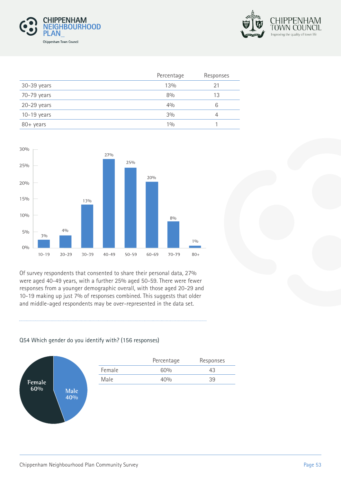



|               | Percentage | Responses |
|---------------|------------|-----------|
| 30-39 years   | 13%        | 21        |
| 70-79 years   | 8%         | 13        |
| $20-29$ years | 40/0       | 6         |
| $10-19$ years | 3%         |           |
| 80+ years     | 10/0       |           |



Of survey respondents that consented to share their personal data, 27% were aged 40-49 years, with a further 25% aged 50-59. There were fewer responses from a younger demographic overall, with those aged 20-29 and 10-19 making up just 7% of responses combined. This suggests that older and middle-aged respondents may be over-represented in the data set.

#### Q54 Which gender do you identify with? (156 responses)



|        | Percentage | Responses |
|--------|------------|-----------|
| Female | 60%        | 43        |
| Male   | 40%        | 39        |
|        |            |           |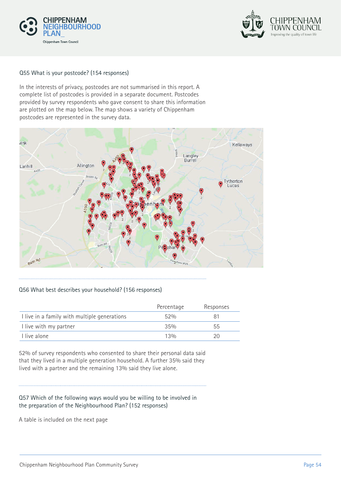



#### Q55 What is your postcode? (154 responses)

In the interests of privacy, postcodes are not summarised in this report. A complete list of postcodes is provided in a separate document. Postcodes provided by survey respondents who gave consent to share this information are plotted on the map below. The map shows a variety of Chippenham postcodes are represented in the survey data.



#### Q56 What best describes your household? (156 responses)

|                                              | Percentage | Responses |
|----------------------------------------------|------------|-----------|
| I live in a family with multiple generations | 52%        |           |
| I live with my partner                       | 35%        | 55        |
| I live alone                                 | 13%        | 20        |

52% of survey respondents who consented to share their personal data said that they lived in a multiple generation household. A further 35% said they lived with a partner and the remaining 13% said they live alone.

#### Q57 Which of the following ways would you be willing to be involved in the preparation of the Neighbourhood Plan? (152 responses)

A table is included on the next page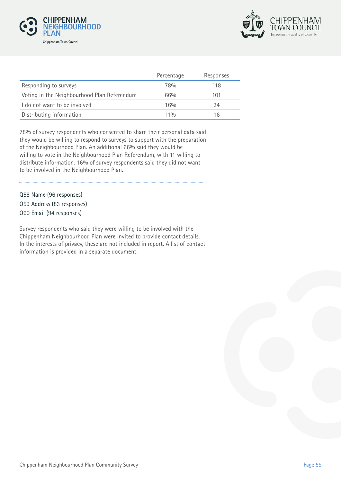



|                                             | Percentage | Responses |
|---------------------------------------------|------------|-----------|
| Responding to surveys                       | 78%        | 118       |
| Voting in the Neighbourhood Plan Referendum | 66%        | 101       |
| I do not want to be involved                | 16%        | 24        |
| Distributing information                    | 110/n      | 16        |

78% of survey respondents who consented to share their personal data said they would be willing to respond to surveys to support with the preparation of the Neighbourhood Plan. An additional 66% said they would be willing to vote in the Neighbourhood Plan Referendum, with 11 willing to distribute information. 16% of survey respondents said they did not want to be involved in the Neighbourhood Plan.

Q58 Name (96 responses) Q59 Address (83 responses) Q60 Email (94 responses)

Survey respondents who said they were willing to be involved with the Chippenham Neighbourhood Plan were invited to provide contact details. In the interests of privacy, these are not included in report. A list of contact information is provided in a separate document.